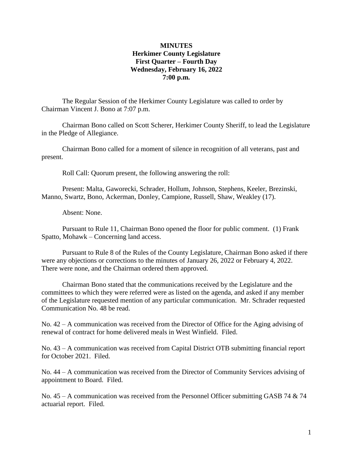### **MINUTES Herkimer County Legislature First Quarter – Fourth Day Wednesday, February 16, 2022 7:00 p.m.**

The Regular Session of the Herkimer County Legislature was called to order by Chairman Vincent J. Bono at 7:07 p.m.

Chairman Bono called on Scott Scherer, Herkimer County Sheriff, to lead the Legislature in the Pledge of Allegiance.

Chairman Bono called for a moment of silence in recognition of all veterans, past and present.

Roll Call: Quorum present, the following answering the roll:

Present: Malta, Gaworecki, Schrader, Hollum, Johnson, Stephens, Keeler, Brezinski, Manno, Swartz, Bono, Ackerman, Donley, Campione, Russell, Shaw, Weakley (17).

Absent: None.

Pursuant to Rule 11, Chairman Bono opened the floor for public comment. (1) Frank Spatto, Mohawk – Concerning land access.

Pursuant to Rule 8 of the Rules of the County Legislature, Chairman Bono asked if there were any objections or corrections to the minutes of January 26, 2022 or February 4, 2022. There were none, and the Chairman ordered them approved.

Chairman Bono stated that the communications received by the Legislature and the committees to which they were referred were as listed on the agenda, and asked if any member of the Legislature requested mention of any particular communication. Mr. Schrader requested Communication No. 48 be read.

No. 42 – A communication was received from the Director of Office for the Aging advising of renewal of contract for home delivered meals in West Winfield. Filed.

No. 43 – A communication was received from Capital District OTB submitting financial report for October 2021. Filed.

No. 44 – A communication was received from the Director of Community Services advising of appointment to Board. Filed.

No.  $45 - A$  communication was received from the Personnel Officer submitting GASB 74  $\&$  74 actuarial report. Filed.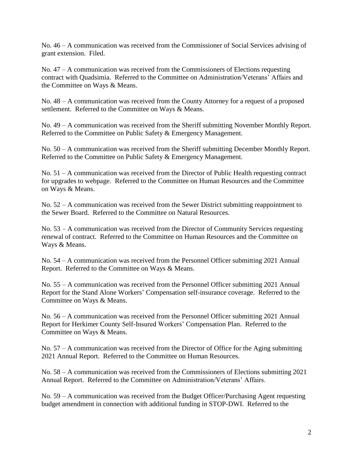No. 46 – A communication was received from the Commissioner of Social Services advising of grant extension. Filed.

No. 47 – A communication was received from the Commissioners of Elections requesting contract with Quadsimia. Referred to the Committee on Administration/Veterans' Affairs and the Committee on Ways & Means.

No. 48 – A communication was received from the County Attorney for a request of a proposed settlement. Referred to the Committee on Ways & Means.

No. 49 – A communication was received from the Sheriff submitting November Monthly Report. Referred to the Committee on Public Safety & Emergency Management.

No. 50 – A communication was received from the Sheriff submitting December Monthly Report. Referred to the Committee on Public Safety & Emergency Management.

No. 51 – A communication was received from the Director of Public Health requesting contract for upgrades to webpage. Referred to the Committee on Human Resources and the Committee on Ways & Means.

No. 52 – A communication was received from the Sewer District submitting reappointment to the Sewer Board. Referred to the Committee on Natural Resources.

No. 53 – A communication was received from the Director of Community Services requesting renewal of contract. Referred to the Committee on Human Resources and the Committee on Ways & Means.

No. 54 – A communication was received from the Personnel Officer submitting 2021 Annual Report. Referred to the Committee on Ways & Means.

No. 55 – A communication was received from the Personnel Officer submitting 2021 Annual Report for the Stand Alone Workers' Compensation self-insurance coverage. Referred to the Committee on Ways & Means.

No. 56 – A communication was received from the Personnel Officer submitting 2021 Annual Report for Herkimer County Self-Insured Workers' Compensation Plan. Referred to the Committee on Ways & Means.

No. 57 – A communication was received from the Director of Office for the Aging submitting 2021 Annual Report. Referred to the Committee on Human Resources.

No. 58 – A communication was received from the Commissioners of Elections submitting 2021 Annual Report. Referred to the Committee on Administration/Veterans' Affairs.

No. 59 – A communication was received from the Budget Officer/Purchasing Agent requesting budget amendment in connection with additional funding in STOP-DWI. Referred to the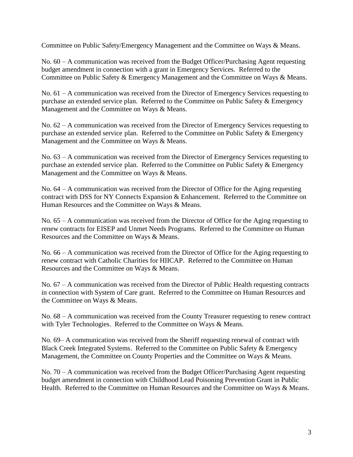Committee on Public Safety/Emergency Management and the Committee on Ways & Means.

No. 60 – A communication was received from the Budget Officer/Purchasing Agent requesting budget amendment in connection with a grant in Emergency Services. Referred to the Committee on Public Safety & Emergency Management and the Committee on Ways & Means.

No. 61 – A communication was received from the Director of Emergency Services requesting to purchase an extended service plan. Referred to the Committee on Public Safety & Emergency Management and the Committee on Ways & Means.

No. 62 – A communication was received from the Director of Emergency Services requesting to purchase an extended service plan. Referred to the Committee on Public Safety & Emergency Management and the Committee on Ways & Means.

No. 63 – A communication was received from the Director of Emergency Services requesting to purchase an extended service plan. Referred to the Committee on Public Safety & Emergency Management and the Committee on Ways & Means.

No. 64 – A communication was received from the Director of Office for the Aging requesting contract with DSS for NY Connects Expansion & Enhancement. Referred to the Committee on Human Resources and the Committee on Ways & Means.

No. 65 – A communication was received from the Director of Office for the Aging requesting to renew contracts for EISEP and Unmet Needs Programs. Referred to the Committee on Human Resources and the Committee on Ways & Means.

No. 66 – A communication was received from the Director of Office for the Aging requesting to renew contract with Catholic Charities for HIICAP. Referred to the Committee on Human Resources and the Committee on Ways & Means.

No. 67 – A communication was received from the Director of Public Health requesting contracts in connection with System of Care grant. Referred to the Committee on Human Resources and the Committee on Ways & Means.

No. 68 – A communication was received from the County Treasurer requesting to renew contract with Tyler Technologies. Referred to the Committee on Ways & Means.

No. 69– A communication was received from the Sheriff requesting renewal of contract with Black Creek Integrated Systems. Referred to the Committee on Public Safety & Emergency Management, the Committee on County Properties and the Committee on Ways & Means.

No. 70 – A communication was received from the Budget Officer/Purchasing Agent requesting budget amendment in connection with Childhood Lead Poisoning Prevention Grant in Public Health. Referred to the Committee on Human Resources and the Committee on Ways & Means.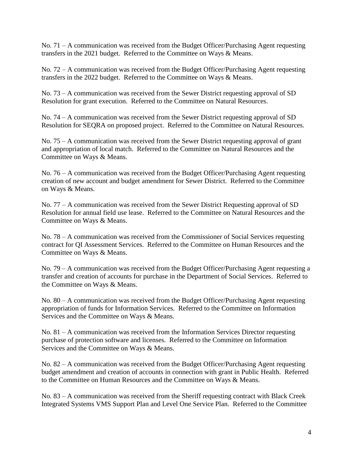No. 71 – A communication was received from the Budget Officer/Purchasing Agent requesting transfers in the 2021 budget. Referred to the Committee on Ways & Means.

No. 72 – A communication was received from the Budget Officer/Purchasing Agent requesting transfers in the 2022 budget. Referred to the Committee on Ways & Means.

No. 73 – A communication was received from the Sewer District requesting approval of SD Resolution for grant execution. Referred to the Committee on Natural Resources.

No. 74 – A communication was received from the Sewer District requesting approval of SD Resolution for SEQRA on proposed project. Referred to the Committee on Natural Resources.

No. 75 – A communication was received from the Sewer District requesting approval of grant and appropriation of local match. Referred to the Committee on Natural Resources and the Committee on Ways & Means.

No. 76 – A communication was received from the Budget Officer/Purchasing Agent requesting creation of new account and budget amendment for Sewer District. Referred to the Committee on Ways & Means.

No. 77 – A communication was received from the Sewer District Requesting approval of SD Resolution for annual field use lease. Referred to the Committee on Natural Resources and the Committee on Ways & Means.

No. 78 – A communication was received from the Commissioner of Social Services requesting contract for QI Assessment Services. Referred to the Committee on Human Resources and the Committee on Ways & Means.

No. 79 – A communication was received from the Budget Officer/Purchasing Agent requesting a transfer and creation of accounts for purchase in the Department of Social Services. Referred to the Committee on Ways & Means.

No. 80 – A communication was received from the Budget Officer/Purchasing Agent requesting appropriation of funds for Information Services. Referred to the Committee on Information Services and the Committee on Ways & Means.

No. 81 – A communication was received from the Information Services Director requesting purchase of protection software and licenses. Referred to the Committee on Information Services and the Committee on Ways & Means.

No. 82 – A communication was received from the Budget Officer/Purchasing Agent requesting budget amendment and creation of accounts in connection with grant in Public Health. Referred to the Committee on Human Resources and the Committee on Ways & Means.

No. 83 – A communication was received from the Sheriff requesting contract with Black Creek Integrated Systems VMS Support Plan and Level One Service Plan. Referred to the Committee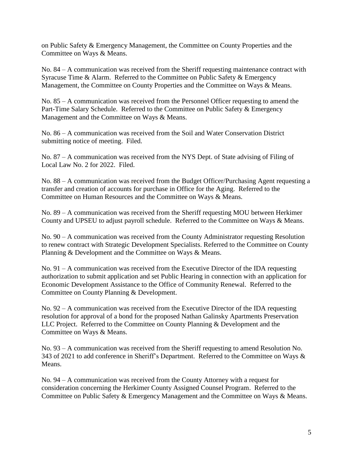on Public Safety & Emergency Management, the Committee on County Properties and the Committee on Ways & Means.

No. 84 – A communication was received from the Sheriff requesting maintenance contract with Syracuse Time & Alarm. Referred to the Committee on Public Safety & Emergency Management, the Committee on County Properties and the Committee on Ways & Means.

No. 85 – A communication was received from the Personnel Officer requesting to amend the Part-Time Salary Schedule. Referred to the Committee on Public Safety & Emergency Management and the Committee on Ways & Means.

No. 86 – A communication was received from the Soil and Water Conservation District submitting notice of meeting. Filed.

No. 87 – A communication was received from the NYS Dept. of State advising of Filing of Local Law No. 2 for 2022. Filed.

No. 88 – A communication was received from the Budget Officer/Purchasing Agent requesting a transfer and creation of accounts for purchase in Office for the Aging. Referred to the Committee on Human Resources and the Committee on Ways & Means.

No. 89 – A communication was received from the Sheriff requesting MOU between Herkimer County and UPSEU to adjust payroll schedule. Referred to the Committee on Ways & Means.

No. 90 – A communication was received from the County Administrator requesting Resolution to renew contract with Strategic Development Specialists. Referred to the Committee on County Planning & Development and the Committee on Ways & Means.

No. 91 – A communication was received from the Executive Director of the IDA requesting authorization to submit application and set Public Hearing in connection with an application for Economic Development Assistance to the Office of Community Renewal. Referred to the Committee on County Planning & Development.

No. 92 – A communication was received from the Executive Director of the IDA requesting resolution for approval of a bond for the proposed Nathan Galinsky Apartments Preservation LLC Project. Referred to the Committee on County Planning & Development and the Committee on Ways & Means.

No. 93 – A communication was received from the Sheriff requesting to amend Resolution No. 343 of 2021 to add conference in Sheriff's Department. Referred to the Committee on Ways & Means.

No. 94 – A communication was received from the County Attorney with a request for consideration concerning the Herkimer County Assigned Counsel Program. Referred to the Committee on Public Safety & Emergency Management and the Committee on Ways & Means.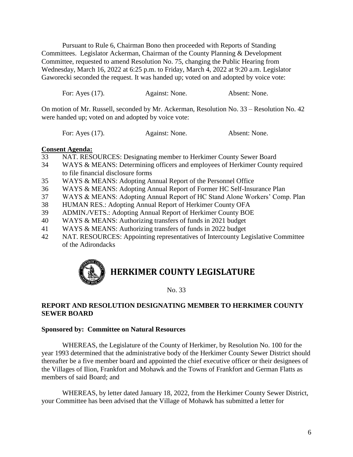Pursuant to Rule 6, Chairman Bono then proceeded with Reports of Standing Committees. Legislator Ackerman, Chairman of the County Planning & Development Committee, requested to amend Resolution No. 75, changing the Public Hearing from Wednesday, March 16, 2022 at 6:25 p.m. to Friday, March 4, 2022 at 9:20 a.m. Legislator Gaworecki seconded the request. It was handed up; voted on and adopted by voice vote:

| For: Ayes (17). | Against: None. | Absent: None. |
|-----------------|----------------|---------------|
|                 |                |               |

On motion of Mr. Russell, seconded by Mr. Ackerman, Resolution No. 33 – Resolution No. 42 were handed up; voted on and adopted by voice vote:

| For: Ayes $(17)$ . | Against: None. | Absent: None. |
|--------------------|----------------|---------------|
|                    |                |               |

### **Consent Agenda:**

- 33 NAT. RESOURCES: Designating member to Herkimer County Sewer Board
- 34 WAYS & MEANS: Determining officers and employees of Herkimer County required to file financial disclosure forms
- 35 WAYS & MEANS: Adopting Annual Report of the Personnel Office
- 36 WAYS & MEANS: Adopting Annual Report of Former HC Self-Insurance Plan
- 37 WAYS & MEANS: Adopting Annual Report of HC Stand Alone Workers' Comp. Plan
- 38 HUMAN RES.: Adopting Annual Report of Herkimer County OFA
- 39 ADMIN./VETS.: Adopting Annual Report of Herkimer County BOE
- 40 WAYS & MEANS: Authorizing transfers of funds in 2021 budget
- 41 WAYS & MEANS: Authorizing transfers of funds in 2022 budget
- 42 NAT. RESOURCES: Appointing representatives of Intercounty Legislative Committee of the Adirondacks

# **HERKIMER COUNTY LEGISLATURE**

No. 33

### **REPORT AND RESOLUTION DESIGNATING MEMBER TO HERKIMER COUNTY SEWER BOARD**

#### **Sponsored by: Committee on Natural Resources**

WHEREAS, the Legislature of the County of Herkimer, by Resolution No. 100 for the year 1993 determined that the administrative body of the Herkimer County Sewer District should thereafter be a five member board and appointed the chief executive officer or their designees of the Villages of Ilion, Frankfort and Mohawk and the Towns of Frankfort and German Flatts as members of said Board; and

WHEREAS, by letter dated January 18, 2022, from the Herkimer County Sewer District, your Committee has been advised that the Village of Mohawk has submitted a letter for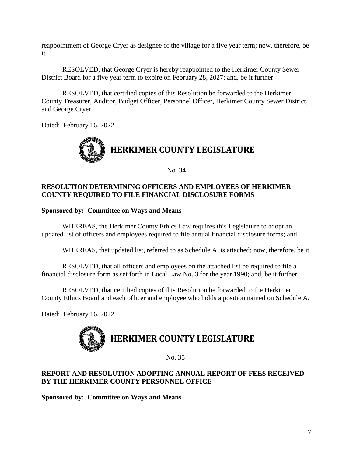reappointment of George Cryer as designee of the village for a five year term; now, therefore, be it

RESOLVED, that George Cryer is hereby reappointed to the Herkimer County Sewer District Board for a five year term to expire on February 28, 2027; and, be it further

RESOLVED, that certified copies of this Resolution be forwarded to the Herkimer County Treasurer, Auditor, Budget Officer, Personnel Officer, Herkimer County Sewer District, and George Cryer.

Dated: February 16, 2022.



No. 34

### **RESOLUTION DETERMINING OFFICERS AND EMPLOYEES OF HERKIMER COUNTY REQUIRED TO FILE FINANCIAL DISCLOSURE FORMS**

### **Sponsored by: Committee on Ways and Means**

WHEREAS, the Herkimer County Ethics Law requires this Legislature to adopt an updated list of officers and employees required to file annual financial disclosure forms; and

WHEREAS, that updated list, referred to as Schedule A, is attached; now, therefore, be it

RESOLVED, that all officers and employees on the attached list be required to file a financial disclosure form as set forth in Local Law No. 3 for the year 1990; and, be it further

RESOLVED, that certified copies of this Resolution be forwarded to the Herkimer County Ethics Board and each officer and employee who holds a position named on Schedule A.

Dated: February 16, 2022.



No. 35

### **REPORT AND RESOLUTION ADOPTING ANNUAL REPORT OF FEES RECEIVED BY THE HERKIMER COUNTY PERSONNEL OFFICE**

**Sponsored by: Committee on Ways and Means**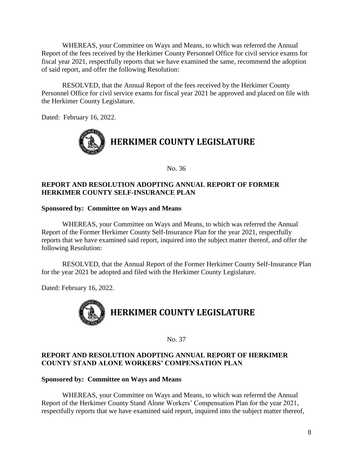WHEREAS, your Committee on Ways and Means, to which was referred the Annual Report of the fees received by the Herkimer County Personnel Office for civil service exams for fiscal year 2021, respectfully reports that we have examined the same, recommend the adoption of said report, and offer the following Resolution:

RESOLVED, that the Annual Report of the fees received by the Herkimer County Personnel Office for civil service exams for fiscal year 2021 be approved and placed on file with the Herkimer County Legislature.

Dated: February 16, 2022.



No. 36

### **REPORT AND RESOLUTION ADOPTING ANNUAL REPORT OF FORMER HERKIMER COUNTY SELF-INSURANCE PLAN**

### **Sponsored by: Committee on Ways and Means**

WHEREAS, your Committee on Ways and Means, to which was referred the Annual Report of the Former Herkimer County Self-Insurance Plan for the year 2021, respectfully reports that we have examined said report, inquired into the subject matter thereof, and offer the following Resolution:

RESOLVED, that the Annual Report of the Former Herkimer County Self-Insurance Plan for the year 2021 be adopted and filed with the Herkimer County Legislature.

Dated: February 16, 2022.



No. 37

### **REPORT AND RESOLUTION ADOPTING ANNUAL REPORT OF HERKIMER COUNTY STAND ALONE WORKERS' COMPENSATION PLAN**

### **Sponsored by: Committee on Ways and Means**

WHEREAS, your Committee on Ways and Means, to which was referred the Annual Report of the Herkimer County Stand Alone Workers' Compensation Plan for the year 2021, respectfully reports that we have examined said report, inquired into the subject matter thereof,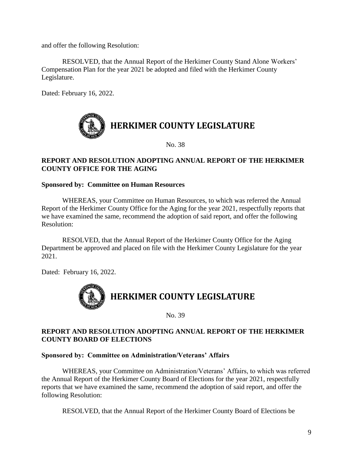and offer the following Resolution:

RESOLVED, that the Annual Report of the Herkimer County Stand Alone Workers' Compensation Plan for the year 2021 be adopted and filed with the Herkimer County Legislature.

Dated: February 16, 2022.



No. 38

### **REPORT AND RESOLUTION ADOPTING ANNUAL REPORT OF THE HERKIMER COUNTY OFFICE FOR THE AGING**

### **Sponsored by: Committee on Human Resources**

WHEREAS, your Committee on Human Resources, to which was referred the Annual Report of the Herkimer County Office for the Aging for the year 2021, respectfully reports that we have examined the same, recommend the adoption of said report, and offer the following Resolution:

RESOLVED, that the Annual Report of the Herkimer County Office for the Aging Department be approved and placed on file with the Herkimer County Legislature for the year 2021.

Dated: February 16, 2022.



No. 39

### **REPORT AND RESOLUTION ADOPTING ANNUAL REPORT OF THE HERKIMER COUNTY BOARD OF ELECTIONS**

### **Sponsored by: Committee on Administration/Veterans' Affairs**

WHEREAS, your Committee on Administration/Veterans' Affairs, to which was referred the Annual Report of the Herkimer County Board of Elections for the year 2021, respectfully reports that we have examined the same, recommend the adoption of said report, and offer the following Resolution:

RESOLVED, that the Annual Report of the Herkimer County Board of Elections be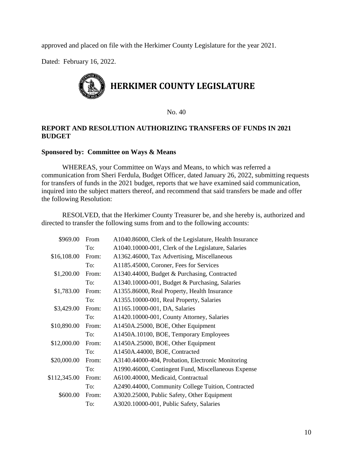approved and placed on file with the Herkimer County Legislature for the year 2021.

Dated: February 16, 2022.



No. 40

### **REPORT AND RESOLUTION AUTHORIZING TRANSFERS OF FUNDS IN 2021 BUDGET**

### **Sponsored by: Committee on Ways & Means**

WHEREAS, your Committee on Ways and Means, to which was referred a communication from Sheri Ferdula, Budget Officer, dated January 26, 2022, submitting requests for transfers of funds in the 2021 budget, reports that we have examined said communication, inquired into the subject matters thereof, and recommend that said transfers be made and offer the following Resolution:

RESOLVED, that the Herkimer County Treasurer be, and she hereby is, authorized and directed to transfer the following sums from and to the following accounts:

| \$969.00     | From  | A1040.86000, Clerk of the Legislature, Health Insurance |
|--------------|-------|---------------------------------------------------------|
|              | To:   | A1040.10000-001, Clerk of the Legislature, Salaries     |
| \$16,108.00  | From: | A1362.46000, Tax Advertising, Miscellaneous             |
|              | To:   | A1185.45000, Coroner, Fees for Services                 |
| \$1,200.00   | From: | A1340.44000, Budget & Purchasing, Contracted            |
|              | To:   | A1340.10000-001, Budget & Purchasing, Salaries          |
| \$1,783.00   | From: | A1355.86000, Real Property, Health Insurance            |
|              | To:   | A1355.10000-001, Real Property, Salaries                |
| \$3,429.00   | From: | A1165.10000-001, DA, Salaries                           |
|              | To:   | A1420.10000-001, County Attorney, Salaries              |
| \$10,890.00  | From: | A1450A.25000, BOE, Other Equipment                      |
|              | To:   | A1450A.10100, BOE, Temporary Employees                  |
| \$12,000.00  | From: | A1450A.25000, BOE, Other Equipment                      |
|              | To:   | A1450A.44000, BOE, Contracted                           |
| \$20,000.00  | From: | A3140.44000-404, Probation, Electronic Monitoring       |
|              | To:   | A1990.46000, Contingent Fund, Miscellaneous Expense     |
| \$112,345.00 | From: | A6100.40000, Medicaid, Contractual                      |
|              | To:   | A2490.44000, Community College Tuition, Contracted      |
| \$600.00     | From: | A3020.25000, Public Safety, Other Equipment             |
|              | To:   | A3020.10000-001, Public Safety, Salaries                |
|              |       |                                                         |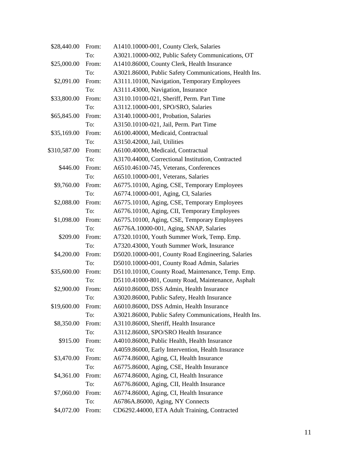| \$28,440.00  | From: | A1410.10000-001, County Clerk, Salaries                |
|--------------|-------|--------------------------------------------------------|
|              | To:   | A3021.10000-002, Public Safety Communications, OT      |
| \$25,000.00  | From: | A1410.86000, County Clerk, Health Insurance            |
|              | To:   | A3021.86000, Public Safety Communications, Health Ins. |
| \$2,091.00   | From: | A3111.10100, Navigation, Temporary Employees           |
|              | To:   | A3111.43000, Navigation, Insurance                     |
| \$33,800.00  | From: | A3110.10100-021, Sheriff, Perm. Part Time              |
|              | To:   | A3112.10000-001, SPO/SRO, Salaries                     |
| \$65,845.00  | From: | A3140.10000-001, Probation, Salaries                   |
|              | To:   | A3150.10100-021, Jail, Perm. Part Time                 |
| \$35,169.00  | From: | A6100.40000, Medicaid, Contractual                     |
|              | To:   | A3150.42000, Jail, Utilities                           |
| \$310,587.00 | From: | A6100.40000, Medicaid, Contractual                     |
|              | To:   | A3170.44000, Correctional Institution, Contracted      |
| \$446.00     | From: | A6510.46100-745, Veterans, Conferences                 |
|              | To:   | A6510.10000-001, Veterans, Salaries                    |
| \$9,760.00   | From: | A6775.10100, Aging, CSE, Temporary Employees           |
|              | To:   | A6774.10000-001, Aging, CI, Salaries                   |
| \$2,088.00   | From: | A6775.10100, Aging, CSE, Temporary Employees           |
|              | To:   | A6776.10100, Aging, CII, Temporary Employees           |
| \$1,098.00   | From: | A6775.10100, Aging, CSE, Temporary Employees           |
|              | To:   | A6776A.10000-001, Aging, SNAP, Salaries                |
| \$209.00     | From: | A7320.10100, Youth Summer Work, Temp. Emp.             |
|              | To:   | A7320.43000, Youth Summer Work, Insurance              |
| \$4,200.00   | From: | D5020.10000-001, County Road Engineering, Salaries     |
|              | To:   | D5010.10000-001, County Road Admin, Salaries           |
| \$35,600.00  | From: | D5110.10100, County Road, Maintenance, Temp. Emp.      |
|              | To:   | D5110.41000-801, County Road, Maintenance, Asphalt     |
| \$2,900.00   | From: | A6010.86000, DSS Admin, Health Insurance               |
|              | To:   | A3020.86000, Public Safety, Health Insurance           |
| \$19,600.00  | From: | A6010.86000, DSS Admin, Health Insurance               |
|              | To:   | A3021.86000, Public Safety Communications, Health Ins. |
| \$8,350.00   | From: | A3110.86000, Sheriff, Health Insurance                 |
|              | To:   | A3112.86000, SPO/SRO Health Insurance                  |
| \$915.00     | From: | A4010.86000, Public Health, Health Insurance           |
|              | To:   | A4059.86000, Early Intervention, Health Insurance      |
| \$3,470.00   | From: | A6774.86000, Aging, CI, Health Insurance               |
|              | To:   | A6775.86000, Aging, CSE, Health Insurance              |
| \$4,361.00   | From: | A6774.86000, Aging, CI, Health Insurance               |
|              | To:   | A6776.86000, Aging, CII, Health Insurance              |
| \$7,060.00   | From: | A6774.86000, Aging, CI, Health Insurance               |
|              | To:   | A6786A.86000, Aging, NY Connects                       |
| \$4,072.00   | From: | CD6292.44000, ETA Adult Training, Contracted           |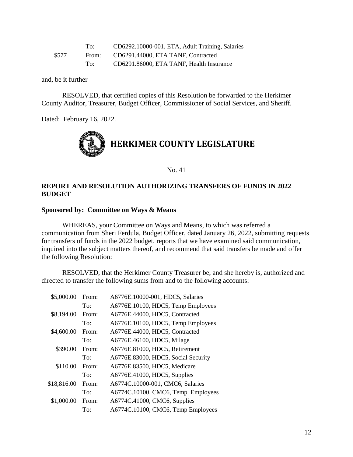|       | To:   | CD6292.10000-001, ETA, Adult Training, Salaries |
|-------|-------|-------------------------------------------------|
| \$577 | From: | CD6291.44000, ETA TANF, Contracted              |
|       | To:   | CD6291.86000, ETA TANF, Health Insurance        |

and, be it further

RESOLVED, that certified copies of this Resolution be forwarded to the Herkimer County Auditor, Treasurer, Budget Officer, Commissioner of Social Services, and Sheriff.

Dated: February 16, 2022.



No. 41

### **REPORT AND RESOLUTION AUTHORIZING TRANSFERS OF FUNDS IN 2022 BUDGET**

### **Sponsored by: Committee on Ways & Means**

WHEREAS, your Committee on Ways and Means, to which was referred a communication from Sheri Ferdula, Budget Officer, dated January 26, 2022, submitting requests for transfers of funds in the 2022 budget, reports that we have examined said communication, inquired into the subject matters thereof, and recommend that said transfers be made and offer the following Resolution:

RESOLVED, that the Herkimer County Treasurer be, and she hereby is, authorized and directed to transfer the following sums from and to the following accounts:

| \$5,000.00  | From: | A6776E.10000-001, HDC5, Salaries    |
|-------------|-------|-------------------------------------|
|             | To:   | A6776E.10100, HDC5, Temp Employees  |
| \$8,194.00  | From: | A6776E.44000, HDC5, Contracted      |
|             | To:   | A6776E.10100, HDC5, Temp Employees  |
| \$4,600.00  | From: | A6776E.44000, HDC5, Contracted      |
|             | To:   | A6776E.46100, HDC5, Milage          |
| \$390.00    | From: | A6776E.81000, HDC5, Retirement      |
|             | To:   | A6776E.83000, HDC5, Social Security |
| \$110.00    | From: | A6776E.83500, HDC5, Medicare        |
|             | To:   | A6776E.41000, HDC5, Supplies        |
| \$18,816.00 | From: | A6774C.10000-001, CMC6, Salaries    |
|             | To:   | A6774C.10100, CMC6, Temp Employees  |
| \$1,000.00  | From: | A6774C.41000, CMC6, Supplies        |
|             | To:   | A6774C.10100, CMC6, Temp Employees  |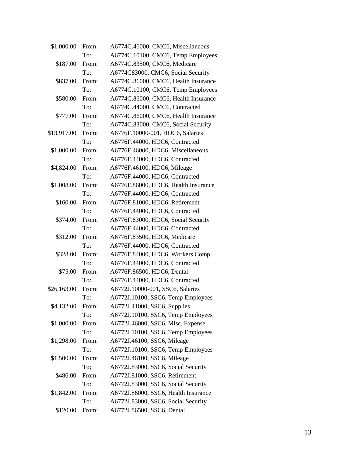| \$1,000.00  | From: | A6774C.46000, CMC6, Miscellaneous    |
|-------------|-------|--------------------------------------|
|             | To:   | A6774C.10100, CMC6, Temp Employees   |
| \$187.00    | From: | A6774C.83500, CMC6, Medicare         |
|             | To:   | A6774C83000, CMC6, Social Security   |
| \$837.00    | From: | A6774C.86000, CMC6, Health Insurance |
|             | To:   | A6774C.10100, CMC6, Temp Employees   |
| \$580.00    | From: | A6774C.86000, CMC6, Health Insurance |
|             | To:   | A6774C.44000, CMC6, Contracted       |
| \$777.00    | From: | A6774C.86000, CMC6, Health Insurance |
|             | To:   | A6774C.83000, CMC6, Social Security  |
| \$13,917.00 | From: | A6776F.10000-001, HDC6, Salaries     |
|             | To:   | A6776F.44000, HDC6, Contracted       |
| \$1,000.00  | From: | A6776F.46000, HDC6, Miscellaneous    |
|             | To:   | A6776F.44000, HDC6, Contracted       |
| \$4,824.00  | From: | A6776F.46100, HDC6, Mileage          |
|             | To:   | A6776F.44000, HDC6, Contracted       |
| \$1,008.00  | From: | A6776F.86000, HDC6, Health Insurance |
|             | To:   | A6776F.44000, HDC6, Contracted       |
| \$160.00    | From: | A6776F.81000, HDC6, Retirement       |
|             | To:   | A6776F.44000, HDC6, Contracted       |
| \$374.00    | From: | A6776F.83000, HDC6, Social Security  |
|             | To:   | A6776F.44000, HDC6, Contracted       |
| \$312.00    | From: | A6776F.83500, HDC6, Medicare         |
|             | To:   | A6776F.44000, HDC6, Contracted       |
| \$328.00    | From: | A6776F.84000, HDC6, Workers Comp     |
|             | To:   | A6776F.44000, HDC6, Contracted       |
| \$75.00     | From: | A6776F.86500, HDC6, Dental           |
|             | To:   | A6776F.44000, HDC6, Contracted       |
| \$26,163.00 | From: | A6772J.10000-001, SSC6, Salaries     |
|             | To:   | A6772J.10100, SSC6, Temp Employees   |
| \$4,132.00  | From: | A6772J.41000, SSC6, Supplies         |
|             | To:   | A6772J.10100, SSC6, Temp Employees   |
| \$1,000.00  | From: | A6772J.46000, SSC6, Misc. Expense    |
|             | To:   | A6772J.10100, SSC6, Temp Employees   |
| \$1,298.00  | From: | A6772J.46100, SSC6, Mileage          |
|             | To:   | A6772J.10100, SSC6, Temp Employees   |
| \$1,500.00  | From: | A6772J.46100, SSC6, Mileage          |
|             | To;   | A6772J.83000, SSC6, Social Security  |
| \$486.00    | From: | A6772J.81000, SSC6, Retirement       |
|             | To:   | A6772J.83000, SSC6, Social Security  |
| \$1,842.00  | From: | A6772J.86000, SSC6, Health Insurance |
|             | To:   | A6772J.83000, SSC6, Social Security  |
| \$120.00    | From: | A6772J.86500, SSC6, Dental           |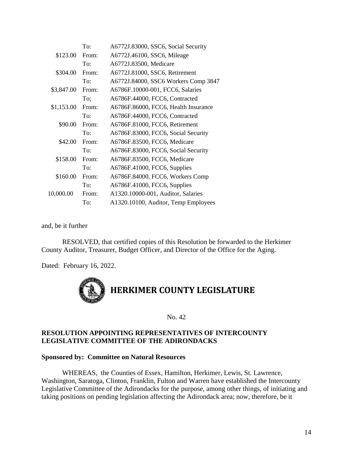|            | To:   | A6772J.83000, SSC6, Social Security  |
|------------|-------|--------------------------------------|
| \$123.00   | From: | A6772J.46100, SSC6, Mileage          |
|            | To:   | A6772J.83500, Medicare               |
| \$304.00   | From: | A6772J.81000, SSC6, Retirement       |
|            | To:   | A6772J.84000, SSC6 Workers Comp 3847 |
| \$3,847.00 | From: | A6786F.10000-001, FCC6, Salaries     |
|            | To:   | A6786F.44000, FCC6, Contracted       |
| \$1,153.00 | From: | A6786F.86000, FCC6, Health Insurance |
|            | To:   | A6786F.44000, FCC6, Contracted       |
| \$90.00    | From: | A6786F.81000, FCC6, Retirement       |
|            | To:   | A6786F.83000, FCC6, Social Security  |
| \$42.00    | From: | A6786F.83500, FCC6, Medicare         |
|            | To:   | A6786F.83000, FCC6, Social Security  |
| \$158.00   | From: | A6786F.83500, FCC6, Medicare         |
|            | To:   | A6786F.41000, FCC6, Supplies         |
| \$160.00   | From: | A6786F.84000, FCC6, Workers Comp     |
|            | To:   | A6786F.41000, FCC6, Supplies         |
| 10,000.00  | From: | A1320.10000-001, Auditor, Salaries   |
|            | To:   | A1320.10100, Auditor, Temp Employees |
|            |       |                                      |

and, be it further

RESOLVED, that certified copies of this Resolution be forwarded to the Herkimer County Auditor, Treasurer, Budget Officer, and Director of the Office for the Aging.

Dated: February 16, 2022.



No. 42

### **RESOLUTION APPOINTING REPRESENTATIVES OF INTERCOUNTY LEGISLATIVE COMMITTEE OF THE ADIRONDACKS**

### **Sponsored by: Committee on Natural Resources**

WHEREAS, the Counties of Essex, Hamilton, Herkimer, Lewis, St. Lawrence, Washington, Saratoga, Clinton, Franklin, Fulton and Warren have established the Intercounty Legislative Committee of the Adirondacks for the purpose, among other things, of initiating and taking positions on pending legislation affecting the Adirondack area; now, therefore, be it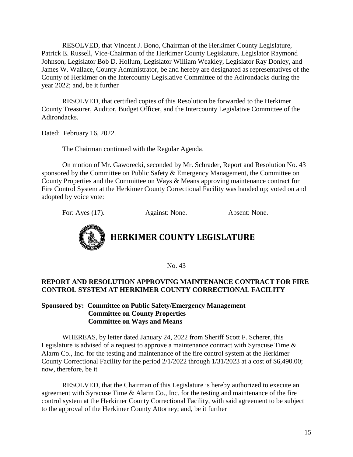RESOLVED, that Vincent J. Bono, Chairman of the Herkimer County Legislature, Patrick E. Russell, Vice-Chairman of the Herkimer County Legislature, Legislator Raymond Johnson, Legislator Bob D. Hollum, Legislator William Weakley, Legislator Ray Donley, and James W. Wallace, County Administrator, be and hereby are designated as representatives of the County of Herkimer on the Intercounty Legislative Committee of the Adirondacks during the year 2022; and, be it further

RESOLVED, that certified copies of this Resolution be forwarded to the Herkimer County Treasurer, Auditor, Budget Officer, and the Intercounty Legislative Committee of the Adirondacks.

Dated: February 16, 2022.

The Chairman continued with the Regular Agenda.

On motion of Mr. Gaworecki, seconded by Mr. Schrader, Report and Resolution No. 43 sponsored by the Committee on Public Safety & Emergency Management, the Committee on County Properties and the Committee on Ways & Means approving maintenance contract for Fire Control System at the Herkimer County Correctional Facility was handed up; voted on and adopted by voice vote:

For: Ayes (17). Against: None. Absent: None.



**HERKIMER COUNTY LEGISLATURE**

No. 43

### **REPORT AND RESOLUTION APPROVING MAINTENANCE CONTRACT FOR FIRE CONTROL SYSTEM AT HERKIMER COUNTY CORRECTIONAL FACILITY**

### **Sponsored by: Committee on Public Safety/Emergency Management Committee on County Properties Committee on Ways and Means**

WHEREAS, by letter dated January 24, 2022 from Sheriff Scott F. Scherer, this Legislature is advised of a request to approve a maintenance contract with Syracuse Time & Alarm Co., Inc. for the testing and maintenance of the fire control system at the Herkimer County Correctional Facility for the period 2/1/2022 through 1/31/2023 at a cost of \$6,490.00; now, therefore, be it

RESOLVED, that the Chairman of this Legislature is hereby authorized to execute an agreement with Syracuse Time & Alarm Co., Inc. for the testing and maintenance of the fire control system at the Herkimer County Correctional Facility, with said agreement to be subject to the approval of the Herkimer County Attorney; and, be it further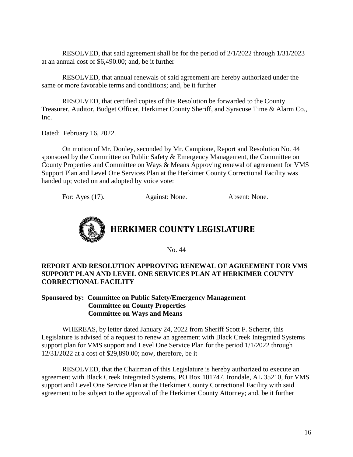RESOLVED, that said agreement shall be for the period of 2/1/2022 through 1/31/2023 at an annual cost of \$6,490.00; and, be it further

RESOLVED, that annual renewals of said agreement are hereby authorized under the same or more favorable terms and conditions; and, be it further

RESOLVED, that certified copies of this Resolution be forwarded to the County Treasurer, Auditor, Budget Officer, Herkimer County Sheriff, and Syracuse Time & Alarm Co., Inc.

Dated: February 16, 2022.

On motion of Mr. Donley, seconded by Mr. Campione, Report and Resolution No. 44 sponsored by the Committee on Public Safety & Emergency Management, the Committee on County Properties and Committee on Ways & Means Approving renewal of agreement for VMS Support Plan and Level One Services Plan at the Herkimer County Correctional Facility was handed up; voted on and adopted by voice vote:

For: Ayes (17). Against: None. Absent: None.



No. 44

### **REPORT AND RESOLUTION APPROVING RENEWAL OF AGREEMENT FOR VMS SUPPORT PLAN AND LEVEL ONE SERVICES PLAN AT HERKIMER COUNTY CORRECTIONAL FACILITY**

### **Sponsored by: Committee on Public Safety/Emergency Management Committee on County Properties Committee on Ways and Means**

WHEREAS, by letter dated January 24, 2022 from Sheriff Scott F. Scherer, this Legislature is advised of a request to renew an agreement with Black Creek Integrated Systems support plan for VMS support and Level One Service Plan for the period 1/1/2022 through 12/31/2022 at a cost of \$29,890.00; now, therefore, be it

RESOLVED, that the Chairman of this Legislature is hereby authorized to execute an agreement with Black Creek Integrated Systems, PO Box 101747, Irondale, AL 35210, for VMS support and Level One Service Plan at the Herkimer County Correctional Facility with said agreement to be subject to the approval of the Herkimer County Attorney; and, be it further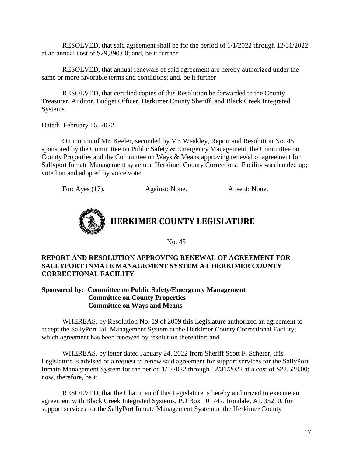RESOLVED, that said agreement shall be for the period of 1/1/2022 through 12/31/2022 at an annual cost of \$29,890.00; and, be it further

RESOLVED, that annual renewals of said agreement are hereby authorized under the same or more favorable terms and conditions; and, be it further

RESOLVED, that certified copies of this Resolution be forwarded to the County Treasurer, Auditor, Budget Officer, Herkimer County Sheriff, and Black Creek Integrated Systems.

Dated: February 16, 2022.

On motion of Mr. Keeler, seconded by Mr. Weakley, Report and Resolution No. 45 sponsored by the Committee on Public Safety & Emergency Management, the Committee on County Properties and the Committee on Ways & Means approving renewal of agreement for Sallyport Inmate Management system at Herkimer County Correctional Facility was handed up; voted on and adopted by voice vote:

For: Ayes (17). Against: None. Absent: None.



### **HERKIMER COUNTY LEGISLATURE**

No. 45

### **REPORT AND RESOLUTION APPROVING RENEWAL OF AGREEMENT FOR SALLYPORT INMATE MANAGEMENT SYSTEM AT HERKIMER COUNTY CORRECTIONAL FACILITY**

**Sponsored by: Committee on Public Safety/Emergency Management Committee on County Properties Committee on Ways and Means**

WHEREAS, by Resolution No. 19 of 2009 this Legislature authorized an agreement to accept the SallyPort Jail Management System at the Herkimer County Correctional Facility; which agreement has been renewed by resolution thereafter; and

WHEREAS, by letter dated January 24, 2022 from Sheriff Scott F. Scherer, this Legislature is advised of a request to renew said agreement for support services for the SallyPort Inmate Management System for the period 1/1/2022 through 12/31/2022 at a cost of \$22,528.00; now, therefore, be it

RESOLVED, that the Chairman of this Legislature is hereby authorized to execute an agreement with Black Creek Integrated Systems, PO Box 101747, Irondale, AL 35210, for support services for the SallyPort Inmate Management System at the Herkimer County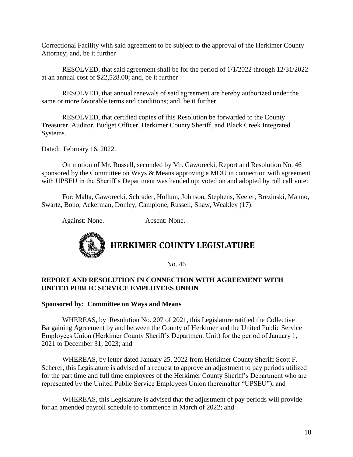Correctional Facility with said agreement to be subject to the approval of the Herkimer County Attorney; and, be it further

RESOLVED, that said agreement shall be for the period of 1/1/2022 through 12/31/2022 at an annual cost of \$22,528.00; and, be it further

RESOLVED, that annual renewals of said agreement are hereby authorized under the same or more favorable terms and conditions; and, be it further

RESOLVED, that certified copies of this Resolution be forwarded to the County Treasurer, Auditor, Budget Officer, Herkimer County Sheriff, and Black Creek Integrated Systems.

Dated: February 16, 2022.

On motion of Mr. Russell, seconded by Mr. Gaworecki, Report and Resolution No. 46 sponsored by the Committee on Ways & Means approving a MOU in connection with agreement with UPSEU in the Sheriff's Department was handed up; voted on and adopted by roll call vote:

For: Malta, Gaworecki, Schrader, Hollum, Johnson, Stephens, Keeler, Brezinski, Manno, Swartz, Bono, Ackerman, Donley, Campione, Russell, Shaw, Weakley (17).

Against: None. Absent: None.



**HERKIMER COUNTY LEGISLATURE**

No. 46

### **REPORT AND RESOLUTION IN CONNECTION WITH AGREEMENT WITH UNITED PUBLIC SERVICE EMPLOYEES UNION**

### **Sponsored by: Committee on Ways and Means**

WHEREAS, by Resolution No. 207 of 2021, this Legislature ratified the Collective Bargaining Agreement by and between the County of Herkimer and the United Public Service Employees Union (Herkimer County Sheriff's Department Unit) for the period of January 1, 2021 to December 31, 2023; and

WHEREAS, by letter dated January 25, 2022 from Herkimer County Sheriff Scott F. Scherer, this Legislature is advised of a request to approve an adjustment to pay periods utilized for the part time and full time employees of the Herkimer County Sheriff's Department who are represented by the United Public Service Employees Union (hereinafter "UPSEU"); and

WHEREAS, this Legislature is advised that the adjustment of pay periods will provide for an amended payroll schedule to commence in March of 2022; and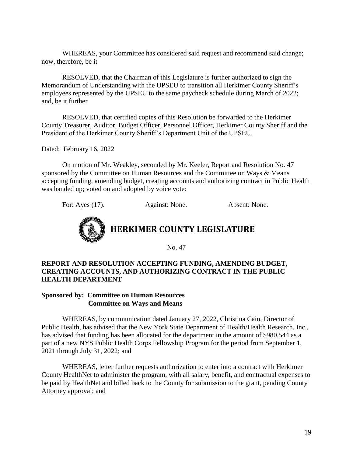WHEREAS, your Committee has considered said request and recommend said change; now, therefore, be it

RESOLVED, that the Chairman of this Legislature is further authorized to sign the Memorandum of Understanding with the UPSEU to transition all Herkimer County Sheriff's employees represented by the UPSEU to the same paycheck schedule during March of 2022; and, be it further

RESOLVED, that certified copies of this Resolution be forwarded to the Herkimer County Treasurer, Auditor, Budget Officer, Personnel Officer, Herkimer County Sheriff and the President of the Herkimer County Sheriff's Department Unit of the UPSEU.

Dated: February 16, 2022

On motion of Mr. Weakley, seconded by Mr. Keeler, Report and Resolution No. 47 sponsored by the Committee on Human Resources and the Committee on Ways & Means accepting funding, amending budget, creating accounts and authorizing contract in Public Health was handed up; voted on and adopted by voice vote:

For: Ayes (17). Against: None. Absent: None.



No. 47

### **REPORT AND RESOLUTION ACCEPTING FUNDING, AMENDING BUDGET, CREATING ACCOUNTS, AND AUTHORIZING CONTRACT IN THE PUBLIC HEALTH DEPARTMENT**

### **Sponsored by: Committee on Human Resources Committee on Ways and Means**

WHEREAS, by communication dated January 27, 2022, Christina Cain, Director of Public Health, has advised that the New York State Department of Health/Health Research. Inc., has advised that funding has been allocated for the department in the amount of \$980,544 as a part of a new NYS Public Health Corps Fellowship Program for the period from September 1, 2021 through July 31, 2022; and

WHEREAS, letter further requests authorization to enter into a contract with Herkimer County HealthNet to administer the program, with all salary, benefit, and contractual expenses to be paid by HealthNet and billed back to the County for submission to the grant, pending County Attorney approval; and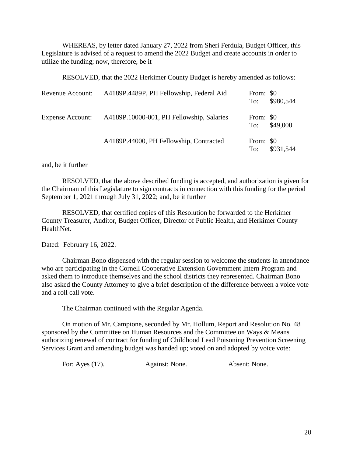WHEREAS, by letter dated January 27, 2022 from Sheri Ferdula, Budget Officer, this Legislature is advised of a request to amend the 2022 Budget and create accounts in order to utilize the funding; now, therefore, be it

RESOLVED, that the 2022 Herkimer County Budget is hereby amended as follows:

| Revenue Account:        | A4189P.4489P, PH Fellowship, Federal Aid  | From: \$0<br>To: | \$980,544 |
|-------------------------|-------------------------------------------|------------------|-----------|
| <b>Expense Account:</b> | A4189P.10000-001, PH Fellowship, Salaries | From: \$0<br>To: | \$49,000  |
|                         | A4189P.44000, PH Fellowship, Contracted   | From: \$0<br>To: | \$931,544 |

### and, be it further

RESOLVED, that the above described funding is accepted, and authorization is given for the Chairman of this Legislature to sign contracts in connection with this funding for the period September 1, 2021 through July 31, 2022; and, be it further

RESOLVED, that certified copies of this Resolution be forwarded to the Herkimer County Treasurer, Auditor, Budget Officer, Director of Public Health, and Herkimer County HealthNet.

Dated: February 16, 2022.

Chairman Bono dispensed with the regular session to welcome the students in attendance who are participating in the Cornell Cooperative Extension Government Intern Program and asked them to introduce themselves and the school districts they represented. Chairman Bono also asked the County Attorney to give a brief description of the difference between a voice vote and a roll call vote.

The Chairman continued with the Regular Agenda.

On motion of Mr. Campione, seconded by Mr. Hollum, Report and Resolution No. 48 sponsored by the Committee on Human Resources and the Committee on Ways & Means authorizing renewal of contract for funding of Childhood Lead Poisoning Prevention Screening Services Grant and amending budget was handed up; voted on and adopted by voice vote:

For: Ayes (17). Against: None. Absent: None.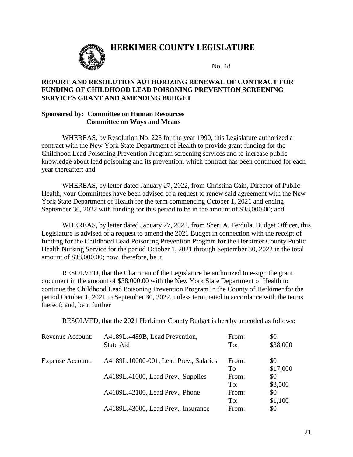### **HERKIMER COUNTY LEGISLATURE**



No. 48

### **REPORT AND RESOLUTION AUTHORIZING RENEWAL OF CONTRACT FOR FUNDING OF CHILDHOOD LEAD POISONING PREVENTION SCREENING SERVICES GRANT AND AMENDING BUDGET**

### **Sponsored by: Committee on Human Resources Committee on Ways and Means**

WHEREAS, by Resolution No. 228 for the year 1990, this Legislature authorized a contract with the New York State Department of Health to provide grant funding for the Childhood Lead Poisoning Prevention Program screening services and to increase public knowledge about lead poisoning and its prevention, which contract has been continued for each year thereafter; and

WHEREAS, by letter dated January 27, 2022, from Christina Cain, Director of Public Health, your Committees have been advised of a request to renew said agreement with the New York State Department of Health for the term commencing October 1, 2021 and ending September 30, 2022 with funding for this period to be in the amount of \$38,000.00; and

WHEREAS, by letter dated January 27, 2022, from Sheri A. Ferdula, Budget Officer, this Legislature is advised of a request to amend the 2021 Budget in connection with the receipt of funding for the Childhood Lead Poisoning Prevention Program for the Herkimer County Public Health Nursing Service for the period October 1, 2021 through September 30, 2022 in the total amount of \$38,000.00; now, therefore, be it

RESOLVED, that the Chairman of the Legislature be authorized to e-sign the grant document in the amount of \$38,000.00 with the New York State Department of Health to continue the Childhood Lead Poisoning Prevention Program in the County of Herkimer for the period October 1, 2021 to September 30, 2022, unless terminated in accordance with the terms thereof; and, be it further

RESOLVED, that the 2021 Herkimer County Budget is hereby amended as follows:

| Revenue Account:        | A4189L.4489B, Lead Prevention,         | From: | \$0      |
|-------------------------|----------------------------------------|-------|----------|
|                         | State Aid                              | To:   | \$38,000 |
| <b>Expense Account:</b> | A4189L.10000-001, Lead Prev., Salaries | From: | \$0      |
|                         |                                        | To    | \$17,000 |
|                         | A4189L.41000, Lead Prev., Supplies     | From: | \$0      |
|                         |                                        | To:   | \$3,500  |
|                         | A4189L.42100, Lead Prev., Phone        | From: | \$0      |
|                         |                                        | To:   | \$1,100  |
|                         | A4189L.43000, Lead Prev., Insurance    | From: | \$0      |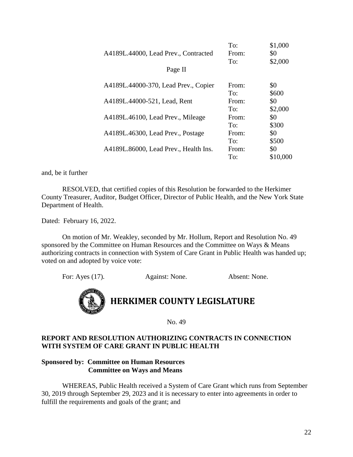|                                       | To:   | \$1,000  |
|---------------------------------------|-------|----------|
| A4189L.44000, Lead Prev., Contracted  | From: | \$0      |
|                                       | To:   | \$2,000  |
| Page II                               |       |          |
| A4189L.44000-370, Lead Prev., Copier  | From: | \$0      |
|                                       | To:   | \$600    |
| A4189L.44000-521, Lead, Rent          | From: | \$0      |
|                                       | To:   | \$2,000  |
| A4189L.46100, Lead Prev., Mileage     | From: | \$0      |
|                                       | To:   | \$300    |
| A4189L.46300, Lead Prev., Postage     | From: | \$0      |
|                                       | To:   | \$500    |
| A4189L.86000, Lead Prev., Health Ins. | From: | \$0      |
|                                       | To:   | \$10,000 |

and, be it further

RESOLVED, that certified copies of this Resolution be forwarded to the Herkimer County Treasurer, Auditor, Budget Officer, Director of Public Health, and the New York State Department of Health.

Dated: February 16, 2022.

On motion of Mr. Weakley, seconded by Mr. Hollum, Report and Resolution No. 49 sponsored by the Committee on Human Resources and the Committee on Ways & Means authorizing contracts in connection with System of Care Grant in Public Health was handed up; voted on and adopted by voice vote:

For: Ayes (17). Against: None. Absent: None.



No. 49

### **REPORT AND RESOLUTION AUTHORIZING CONTRACTS IN CONNECTION WITH SYSTEM OF CARE GRANT IN PUBLIC HEALTH**

### **Sponsored by: Committee on Human Resources Committee on Ways and Means**

WHEREAS, Public Health received a System of Care Grant which runs from September 30, 2019 through September 29, 2023 and it is necessary to enter into agreements in order to fulfill the requirements and goals of the grant; and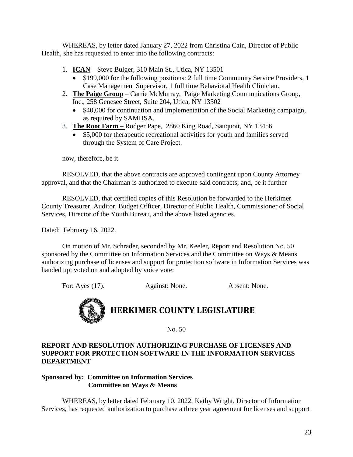WHEREAS, by letter dated January 27, 2022 from Christina Cain, Director of Public Health, she has requested to enter into the following contracts:

- 1. **ICAN** Steve Bulger, 310 Main St., Utica, NY 13501
	- \$199,000 for the following positions: 2 full time Community Service Providers, 1 Case Management Supervisor, 1 full time Behavioral Health Clinician.
- 2. **The Paige Group** Carrie McMurray, Paige Marketing Communications Group, Inc., 258 Genesee Street, Suite 204, Utica, NY 13502
	- \$40,000 for continuation and implementation of the Social Marketing campaign, as required by SAMHSA.
- 3. **The Root Farm –** Rodger Pape, 2860 King Road, Sauquoit, NY 13456
	- \$5,000 for therapeutic recreational activities for youth and families served through the System of Care Project.

now, therefore, be it

RESOLVED, that the above contracts are approved contingent upon County Attorney approval, and that the Chairman is authorized to execute said contracts; and, be it further

RESOLVED, that certified copies of this Resolution be forwarded to the Herkimer County Treasurer, Auditor, Budget Officer, Director of Public Health, Commissioner of Social Services, Director of the Youth Bureau, and the above listed agencies.

Dated: February 16, 2022.

On motion of Mr. Schrader, seconded by Mr. Keeler, Report and Resolution No. 50 sponsored by the Committee on Information Services and the Committee on Ways & Means authorizing purchase of licenses and support for protection software in Information Services was handed up; voted on and adopted by voice vote:

For: Ayes (17). Against: None. Absent: None.

# **HERKIMER COUNTY LEGISLATURE**

No. 50

### **REPORT AND RESOLUTION AUTHORIZING PURCHASE OF LICENSES AND SUPPORT FOR PROTECTION SOFTWARE IN THE INFORMATION SERVICES DEPARTMENT**

### **Sponsored by: Committee on Information Services Committee on Ways & Means**

WHEREAS, by letter dated February 10, 2022, Kathy Wright, Director of Information Services, has requested authorization to purchase a three year agreement for licenses and support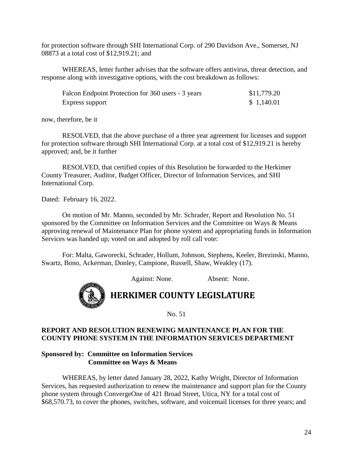for protection software through SHI International Corp. of 290 Davidson Ave., Somerset, NJ 08873 at a total cost of \$12,919.21; and

WHEREAS, letter further advises that the software offers antivirus, threat detection, and response along with investigative options, with the cost breakdown as follows:

| Falcon Endpoint Protection for 360 users - 3 years | \$11,779.20 |
|----------------------------------------------------|-------------|
| Express support                                    | \$1,140.01  |

now, therefore, be it

RESOLVED, that the above purchase of a three year agreement for licenses and support for protection software through SHI International Corp. at a total cost of \$12,919.21 is hereby approved; and, be it further

RESOLVED, that certified copies of this Resolution be forwarded to the Herkimer County Treasurer, Auditor, Budget Officer, Director of Information Services, and SHI International Corp.

Dated: February 16, 2022.

On motion of Mr. Manno, seconded by Mr. Schrader, Report and Resolution No. 51 sponsored by the Committee on Information Services and the Committee on Ways & Means approving renewal of Maintenance Plan for phone system and appropriating funds in Information Services was handed up; voted on and adopted by roll call vote:

For: Malta, Gaworecki, Schrader, Hollum, Johnson, Stephens, Keeler, Brezinski, Manno, Swartz, Bono, Ackerman, Donley, Campione, Russell, Shaw, Weakley (17).

Against: None. Absent: None.



**HERKIMER COUNTY LEGISLATURE**

No. 51

### **REPORT AND RESOLUTION RENEWING MAINTENANCE PLAN FOR THE COUNTY PHONE SYSTEM IN THE INFORMATION SERVICES DEPARTMENT**

### **Sponsored by: Committee on Information Services Committee on Ways & Means**

WHEREAS, by letter dated January 28, 2022, Kathy Wright, Director of Information Services, has requested authorization to renew the maintenance and support plan for the County phone system through ConvergeOne of 421 Broad Street, Utica, NY for a total cost of \$68,570.73, to cover the phones, switches, software, and voicemail licenses for three years; and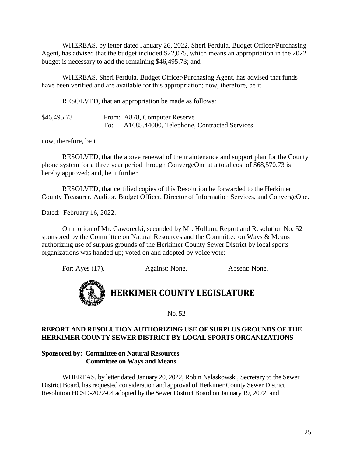WHEREAS, by letter dated January 26, 2022, Sheri Ferdula, Budget Officer/Purchasing Agent, has advised that the budget included \$22,075, which means an appropriation in the 2022 budget is necessary to add the remaining \$46,495.73; and

WHEREAS, Sheri Ferdula, Budget Officer/Purchasing Agent, has advised that funds have been verified and are available for this appropriation; now, therefore, be it

RESOLVED, that an appropriation be made as follows:

\$46,495.73 From: A878, Computer Reserve To: A1685.44000, Telephone, Contracted Services

now, therefore, be it

RESOLVED, that the above renewal of the maintenance and support plan for the County phone system for a three year period through ConvergeOne at a total cost of \$68,570.73 is hereby approved; and, be it further

RESOLVED, that certified copies of this Resolution be forwarded to the Herkimer County Treasurer, Auditor, Budget Officer, Director of Information Services, and ConvergeOne.

Dated: February 16, 2022.

On motion of Mr. Gaworecki, seconded by Mr. Hollum, Report and Resolution No. 52 sponsored by the Committee on Natural Resources and the Committee on Ways & Means authorizing use of surplus grounds of the Herkimer County Sewer District by local sports organizations was handed up; voted on and adopted by voice vote:

For: Ayes (17). Against: None. Absent: None.



### **HERKIMER COUNTY LEGISLATURE**

No. 52

### **REPORT AND RESOLUTION AUTHORIZING USE OF SURPLUS GROUNDS OF THE HERKIMER COUNTY SEWER DISTRICT BY LOCAL SPORTS ORGANIZATIONS**

### **Sponsored by: Committee on Natural Resources Committee on Ways and Means**

WHEREAS, by letter dated January 20, 2022, Robin Nalaskowski, Secretary to the Sewer District Board, has requested consideration and approval of Herkimer County Sewer District Resolution HCSD-2022-04 adopted by the Sewer District Board on January 19, 2022; and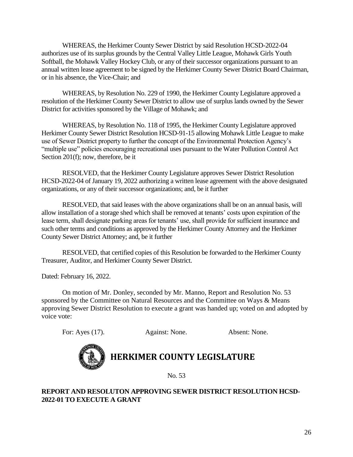WHEREAS, the Herkimer County Sewer District by said Resolution HCSD-2022-04 authorizes use of its surplus grounds by the Central Valley Little League, Mohawk Girls Youth Softball, the Mohawk Valley Hockey Club, or any of their successor organizations pursuant to an annual written lease agreement to be signed by the Herkimer County Sewer District Board Chairman, or in his absence, the Vice-Chair; and

WHEREAS, by Resolution No. 229 of 1990, the Herkimer County Legislature approved a resolution of the Herkimer County Sewer District to allow use of surplus lands owned by the Sewer District for activities sponsored by the Village of Mohawk; and

WHEREAS, by Resolution No. 118 of 1995, the Herkimer County Legislature approved Herkimer County Sewer District Resolution HCSD-91-15 allowing Mohawk Little League to make use of Sewer District property to further the concept of the Environmental Protection Agency's "multiple use" policies encouraging recreational uses pursuant to the Water Pollution Control Act Section 201(f); now, therefore, be it

RESOLVED, that the Herkimer County Legislature approves Sewer District Resolution HCSD-2022-04 of January 19, 2022 authorizing a written lease agreement with the above designated organizations, or any of their successor organizations; and, be it further

RESOLVED, that said leases with the above organizations shall be on an annual basis, will allow installation of a storage shed which shall be removed at tenants' costs upon expiration of the lease term, shall designate parking areas for tenants' use, shall provide for sufficient insurance and such other terms and conditions as approved by the Herkimer County Attorney and the Herkimer County Sewer District Attorney; and, be it further

RESOLVED, that certified copies of this Resolution be forwarded to the Herkimer County Treasurer, Auditor, and Herkimer County Sewer District.

Dated: February 16, 2022.

On motion of Mr. Donley, seconded by Mr. Manno, Report and Resolution No. 53 sponsored by the Committee on Natural Resources and the Committee on Ways & Means approving Sewer District Resolution to execute a grant was handed up; voted on and adopted by voice vote:

For: Ayes (17). Against: None. Absent: None.



# **HERKIMER COUNTY LEGISLATURE**

No. 53

### **REPORT AND RESOLUTON APPROVING SEWER DISTRICT RESOLUTION HCSD-2022-01 TO EXECUTE A GRANT**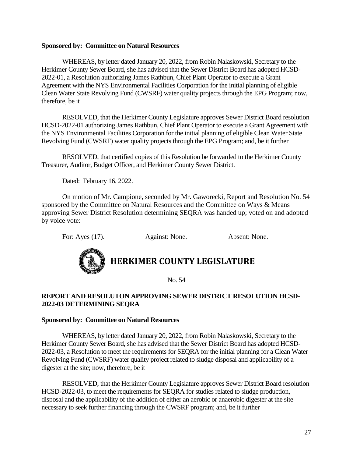### **Sponsored by: Committee on Natural Resources**

WHEREAS, by letter dated January 20, 2022, from Robin Nalaskowski, Secretary to the Herkimer County Sewer Board, she has advised that the Sewer District Board has adopted HCSD-2022-01, a Resolution authorizing James Rathbun, Chief Plant Operator to execute a Grant Agreement with the NYS Environmental Facilities Corporation for the initial planning of eligible Clean Water State Revolving Fund (CWSRF) water quality projects through the EPG Program; now, therefore, be it

RESOLVED, that the Herkimer County Legislature approves Sewer District Board resolution HCSD-2022-01 authorizing James Rathbun, Chief Plant Operator to execute a Grant Agreement with the NYS Environmental Facilities Corporation for the initial planning of eligible Clean Water State Revolving Fund (CWSRF) water quality projects through the EPG Program; and, be it further

RESOLVED, that certified copies of this Resolution be forwarded to the Herkimer County Treasurer, Auditor, Budget Officer, and Herkimer County Sewer District.

Dated: February 16, 2022.

On motion of Mr. Campione, seconded by Mr. Gaworecki, Report and Resolution No. 54 sponsored by the Committee on Natural Resources and the Committee on Ways & Means approving Sewer District Resolution determining SEQRA was handed up; voted on and adopted by voice vote:

For: Ayes (17). Against: None. Absent: None.



**HERKIMER COUNTY LEGISLATURE**

No. 54

### **REPORT AND RESOLUTON APPROVING SEWER DISTRICT RESOLUTION HCSD-2022-03 DETERMINING SEQRA**

### **Sponsored by: Committee on Natural Resources**

WHEREAS, by letter dated January 20, 2022, from Robin Nalaskowski, Secretary to the Herkimer County Sewer Board, she has advised that the Sewer District Board has adopted HCSD-2022-03, a Resolution to meet the requirements for SEQRA for the initial planning for a Clean Water Revolving Fund (CWSRF) water quality project related to sludge disposal and applicability of a digester at the site; now, therefore, be it

RESOLVED, that the Herkimer County Legislature approves Sewer District Board resolution HCSD-2022-03, to meet the requirements for SEQRA for studies related to sludge production, disposal and the applicability of the addition of either an aerobic or anaerobic digester at the site necessary to seek further financing through the CWSRF program; and, be it further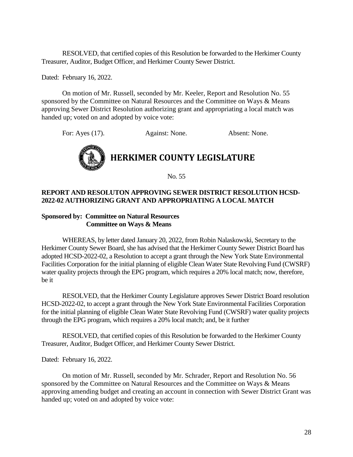RESOLVED, that certified copies of this Resolution be forwarded to the Herkimer County Treasurer, Auditor, Budget Officer, and Herkimer County Sewer District.

Dated: February 16, 2022.

On motion of Mr. Russell, seconded by Mr. Keeler, Report and Resolution No. 55 sponsored by the Committee on Natural Resources and the Committee on Ways & Means approving Sewer District Resolution authorizing grant and appropriating a local match was handed up; voted on and adopted by voice vote:

For: Ayes (17). Against: None. Absent: None.



No. 55

### **REPORT AND RESOLUTON APPROVING SEWER DISTRICT RESOLUTION HCSD-2022-02 AUTHORIZING GRANT AND APPROPRIATING A LOCAL MATCH**

### **Sponsored by: Committee on Natural Resources Committee on Ways & Means**

WHEREAS, by letter dated January 20, 2022, from Robin Nalaskowski, Secretary to the Herkimer County Sewer Board, she has advised that the Herkimer County Sewer District Board has adopted HCSD-2022-02, a Resolution to accept a grant through the New York State Environmental Facilities Corporation for the initial planning of eligible Clean Water State Revolving Fund (CWSRF) water quality projects through the EPG program, which requires a 20% local match; now, therefore, be it

RESOLVED, that the Herkimer County Legislature approves Sewer District Board resolution HCSD-2022-02, to accept a grant through the New York State Environmental Facilities Corporation for the initial planning of eligible Clean Water State Revolving Fund (CWSRF) water quality projects through the EPG program, which requires a 20% local match; and, be it further

RESOLVED, that certified copies of this Resolution be forwarded to the Herkimer County Treasurer, Auditor, Budget Officer, and Herkimer County Sewer District.

Dated: February 16, 2022.

On motion of Mr. Russell, seconded by Mr. Schrader, Report and Resolution No. 56 sponsored by the Committee on Natural Resources and the Committee on Ways & Means approving amending budget and creating an account in connection with Sewer District Grant was handed up; voted on and adopted by voice vote: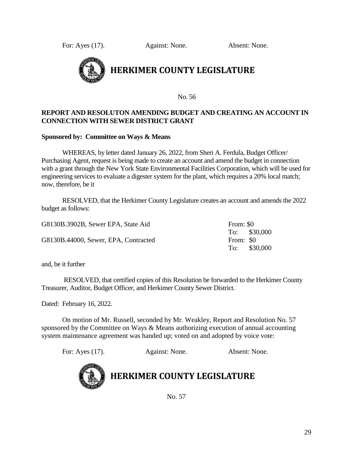For: Ayes (17). Against: None. Absent: None.



No. 56

### **REPORT AND RESOLUTON AMENDING BUDGET AND CREATING AN ACCOUNT IN CONNECTION WITH SEWER DISTRICT GRANT**

### **Sponsored by: Committee on Ways & Means**

WHEREAS, by letter dated January 26, 2022, from Sheri A. Ferdula, Budget Officer/ Purchasing Agent, request is being made to create an account and amend the budget in connection with a grant through the New York State Environmental Facilities Corporation, which will be used for engineering services to evaluate a digester system for the plant, which requires a 20% local match; now, therefore, be it

RESOLVED, that the Herkimer County Legislature creates an account and amends the 2022 budget as follows:

| G8130B.3902B, Sewer EPA, State Aid   | From: \$0 |               |
|--------------------------------------|-----------|---------------|
|                                      |           | To: $$30,000$ |
| G8130B.44000, Sewer, EPA, Contracted | From: \$0 |               |
|                                      |           | To: \$30,000  |

and, be it further

RESOLVED, that certified copies of this Resolution be forwarded to the Herkimer County Treasurer, Auditor, Budget Officer, and Herkimer County Sewer District.

Dated: February 16, 2022.

On motion of Mr. Russell, seconded by Mr. Weakley, Report and Resolution No. 57 sponsored by the Committee on Ways & Means authorizing execution of annual accounting system maintenance agreement was handed up; voted on and adopted by voice vote:

For: Ayes (17). Against: None. Absent: None.



# **HERKIMER COUNTY LEGISLATURE**

No. 57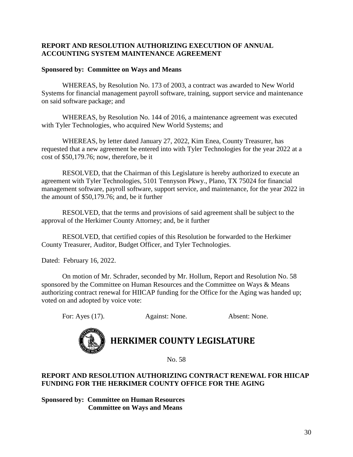### **REPORT AND RESOLUTION AUTHORIZING EXECUTION OF ANNUAL ACCOUNTING SYSTEM MAINTENANCE AGREEMENT**

### **Sponsored by: Committee on Ways and Means**

WHEREAS, by Resolution No. 173 of 2003, a contract was awarded to New World Systems for financial management payroll software, training, support service and maintenance on said software package; and

WHEREAS, by Resolution No. 144 of 2016, a maintenance agreement was executed with Tyler Technologies, who acquired New World Systems; and

WHEREAS, by letter dated January 27, 2022, Kim Enea, County Treasurer, has requested that a new agreement be entered into with Tyler Technologies for the year 2022 at a cost of \$50,179.76; now, therefore, be it

RESOLVED, that the Chairman of this Legislature is hereby authorized to execute an agreement with Tyler Technologies, 5101 Tennyson Pkwy., Plano, TX 75024 for financial management software, payroll software, support service, and maintenance, for the year 2022 in the amount of \$50,179.76; and, be it further

RESOLVED, that the terms and provisions of said agreement shall be subject to the approval of the Herkimer County Attorney; and, be it further

RESOLVED, that certified copies of this Resolution be forwarded to the Herkimer County Treasurer, Auditor, Budget Officer, and Tyler Technologies.

Dated: February 16, 2022.

On motion of Mr. Schrader, seconded by Mr. Hollum, Report and Resolution No. 58 sponsored by the Committee on Human Resources and the Committee on Ways & Means authorizing contract renewal for HIICAP funding for the Office for the Aging was handed up; voted on and adopted by voice vote:

For: Ayes (17). Against: None. Absent: None.



## **HERKIMER COUNTY LEGISLATURE**

No. 58

### **REPORT AND RESOLUTION AUTHORIZING CONTRACT RENEWAL FOR HIICAP FUNDING FOR THE HERKIMER COUNTY OFFICE FOR THE AGING**

**Sponsored by: Committee on Human Resources Committee on Ways and Means**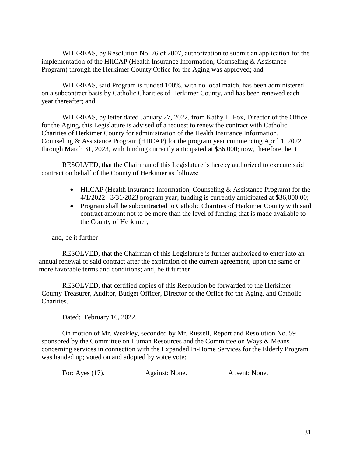WHEREAS, by Resolution No. 76 of 2007, authorization to submit an application for the implementation of the HIICAP (Health Insurance Information, Counseling & Assistance Program) through the Herkimer County Office for the Aging was approved; and

WHEREAS, said Program is funded 100%, with no local match, has been administered on a subcontract basis by Catholic Charities of Herkimer County, and has been renewed each year thereafter; and

WHEREAS, by letter dated January 27, 2022, from Kathy L. Fox, Director of the Office for the Aging, this Legislature is advised of a request to renew the contract with Catholic Charities of Herkimer County for administration of the Health Insurance Information, Counseling & Assistance Program (HIICAP) for the program year commencing April 1, 2022 through March 31, 2023, with funding currently anticipated at \$36,000; now, therefore, be it

RESOLVED, that the Chairman of this Legislature is hereby authorized to execute said contract on behalf of the County of Herkimer as follows:

- HIICAP (Health Insurance Information, Counseling & Assistance Program) for the  $4/1/2022 - 3/31/2023$  program year; funding is currently anticipated at \$36,000.00;
- Program shall be subcontracted to Catholic Charities of Herkimer County with said contract amount not to be more than the level of funding that is made available to the County of Herkimer;

and, be it further

RESOLVED, that the Chairman of this Legislature is further authorized to enter into an annual renewal of said contract after the expiration of the current agreement, upon the same or more favorable terms and conditions; and, be it further

RESOLVED, that certified copies of this Resolution be forwarded to the Herkimer County Treasurer, Auditor, Budget Officer, Director of the Office for the Aging, and Catholic Charities.

Dated: February 16, 2022.

On motion of Mr. Weakley, seconded by Mr. Russell, Report and Resolution No. 59 sponsored by the Committee on Human Resources and the Committee on Ways & Means concerning services in connection with the Expanded In-Home Services for the Elderly Program was handed up; voted on and adopted by voice vote:

For: Ayes (17). Against: None. Absent: None.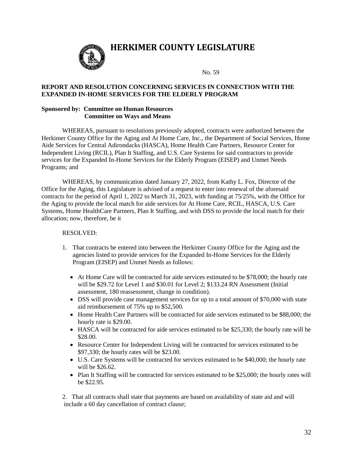

### **HERKIMER COUNTY LEGISLATURE**

No. 59

#### **REPORT AND RESOLUTION CONCERNING SERVICES IN CONNECTION WITH THE EXPANDED IN-HOME SERVICES FOR THE ELDERLY PROGRAM**

#### **Sponsored by: Committee on Human Resources Committee on Ways and Means**

WHEREAS, pursuant to resolutions previously adopted, contracts were authorized between the Herkimer County Office for the Aging and At Home Care, Inc., the Department of Social Services, Home Aide Services for Central Adirondacks (HASCA), Home Health Care Partners, Resource Center for Independent Living (RCIL), Plan It Staffing, and U.S. Care Systems for said contractors to provide services for the Expanded In-Home Services for the Elderly Program (EISEP) and Unmet Needs Programs; and

WHEREAS, by communication dated January 27, 2022, from Kathy L. Fox, Director of the Office for the Aging, this Legislature is advised of a request to enter into renewal of the aforesaid contracts for the period of April 1, 2022 to March 31, 2023, with funding at 75/25%, with the Office for the Aging to provide the local match for aide services for At Home Care, RCIL, HASCA, U.S. Care Systems, Home HealthCare Partners, Plan It Staffing, and with DSS to provide the local match for their allocation; now, therefore, be it

#### RESOLVED:

- 1. That contracts be entered into between the Herkimer County Office for the Aging and the agencies listed to provide services for the Expanded In-Home Services for the Elderly Program (EISEP) and Unmet Needs as follows:
	- At Home Care will be contracted for aide services estimated to be \$78,000; the hourly rate will be \$29.72 for Level 1 and \$30.01 for Level 2; \$133.24 RN Assessment (Initial assessment, 180 reassessment, change in condition).
	- DSS will provide case management services for up to a total amount of \$70,000 with state aid reimbursement of 75% up to \$52,500.
	- Home Health Care Partners will be contracted for aide services estimated to be \$88,000; the hourly rate is \$29.00.
	- HASCA will be contracted for aide services estimated to be \$25,330; the hourly rate will be \$28.00.
	- Resource Center for Independent Living will be contracted for services estimated to be \$97,330; the hourly rates will be \$23.00.
	- U.S. Care Systems will be contracted for services estimated to be \$40,000; the hourly rate will be \$26.62.
	- Plan It Staffing will be contracted for services estimated to be \$25,000; the hourly rates will be \$22.95.

2. That all contracts shall state that payments are based on availability of state aid and will include a 60 day cancellation of contract clause;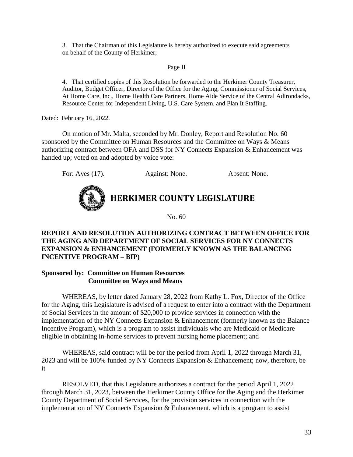3. That the Chairman of this Legislature is hereby authorized to execute said agreements on behalf of the County of Herkimer;

### Page II

4. That certified copies of this Resolution be forwarded to the Herkimer County Treasurer, Auditor, Budget Officer, Director of the Office for the Aging, Commissioner of Social Services, At Home Care, Inc., Home Health Care Partners, Home Aide Service of the Central Adirondacks, Resource Center for Independent Living, U.S. Care System, and Plan It Staffing.

Dated: February 16, 2022.

On motion of Mr. Malta, seconded by Mr. Donley, Report and Resolution No. 60 sponsored by the Committee on Human Resources and the Committee on Ways & Means authorizing contract between OFA and DSS for NY Connects Expansion & Enhancement was handed up; voted on and adopted by voice vote:

For: Ayes (17). Against: None. Absent: None.

# **HERKIMER COUNTY LEGISLATURE**

No. 60

### **REPORT AND RESOLUTION AUTHORIZING CONTRACT BETWEEN OFFICE FOR THE AGING AND DEPARTMENT OF SOCIAL SERVICES FOR NY CONNECTS EXPANSION & ENHANCEMENT (FORMERLY KNOWN AS THE BALANCING INCENTIVE PROGRAM – BIP)**

### **Sponsored by: Committee on Human Resources Committee on Ways and Means**

WHEREAS, by letter dated January 28, 2022 from Kathy L. Fox, Director of the Office for the Aging, this Legislature is advised of a request to enter into a contract with the Department of Social Services in the amount of \$20,000 to provide services in connection with the implementation of the NY Connects Expansion & Enhancement (formerly known as the Balance Incentive Program), which is a program to assist individuals who are Medicaid or Medicare eligible in obtaining in-home services to prevent nursing home placement; and

WHEREAS, said contract will be for the period from April 1, 2022 through March 31, 2023 and will be 100% funded by NY Connects Expansion & Enhancement; now, therefore, be it

RESOLVED, that this Legislature authorizes a contract for the period April 1, 2022 through March 31, 2023, between the Herkimer County Office for the Aging and the Herkimer County Department of Social Services, for the provision services in connection with the implementation of NY Connects Expansion & Enhancement, which is a program to assist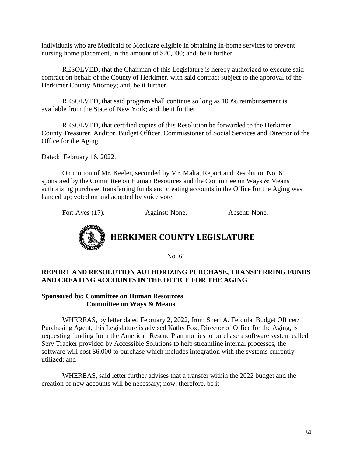individuals who are Medicaid or Medicare eligible in obtaining in-home services to prevent nursing home placement, in the amount of \$20,000; and, be it further

RESOLVED, that the Chairman of this Legislature is hereby authorized to execute said contract on behalf of the County of Herkimer, with said contract subject to the approval of the Herkimer County Attorney; and, be it further

RESOLVED, that said program shall continue so long as 100% reimbursement is available from the State of New York; and, be it further

RESOLVED, that certified copies of this Resolution be forwarded to the Herkimer County Treasurer, Auditor, Budget Officer, Commissioner of Social Services and Director of the Office for the Aging.

Dated: February 16, 2022.

On motion of Mr. Keeler, seconded by Mr. Malta, Report and Resolution No. 61 sponsored by the Committee on Human Resources and the Committee on Ways & Means authorizing purchase, transferring funds and creating accounts in the Office for the Aging was handed up; voted on and adopted by voice vote:

For: Ayes (17). Against: None. Absent: None.



## **HERKIMER COUNTY LEGISLATURE**

No. 61

### **REPORT AND RESOLUTION AUTHORIZING PURCHASE, TRANSFERRING FUNDS AND CREATING ACCOUNTS IN THE OFFICE FOR THE AGING**

### **Sponsored by: Committee on Human Resources Committee on Ways & Means**

WHEREAS, by letter dated February 2, 2022, from Sheri A. Ferdula, Budget Officer/ Purchasing Agent, this Legislature is advised Kathy Fox, Director of Office for the Aging, is requesting funding from the American Rescue Plan monies to purchase a software system called Serv Tracker provided by Accessible Solutions to help streamline internal processes, the software will cost \$6,000 to purchase which includes integration with the systems currently utilized; and

WHEREAS, said letter further advises that a transfer within the 2022 budget and the creation of new accounts will be necessary; now, therefore, be it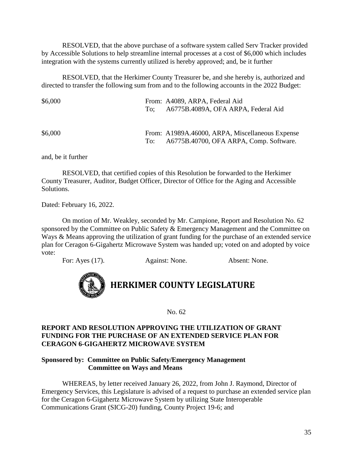RESOLVED, that the above purchase of a software system called Serv Tracker provided by Accessible Solutions to help streamline internal processes at a cost of \$6,000 which includes integration with the systems currently utilized is hereby approved; and, be it further

RESOLVED, that the Herkimer County Treasurer be, and she hereby is, authorized and directed to transfer the following sum from and to the following accounts in the 2022 Budget:

| \$6,000 |     | From: A4089, ARPA, Federal Aid<br>To; A6775B.4089A, OFA ARPA, Federal Aid                  |
|---------|-----|--------------------------------------------------------------------------------------------|
| \$6,000 | To: | From: A1989A.46000, ARPA, Miscellaneous Expense<br>A6775B.40700, OFA ARPA, Comp. Software. |

and, be it further

 RESOLVED, that certified copies of this Resolution be forwarded to the Herkimer County Treasurer, Auditor, Budget Officer, Director of Office for the Aging and Accessible Solutions.

Dated: February 16, 2022.

On motion of Mr. Weakley, seconded by Mr. Campione, Report and Resolution No. 62 sponsored by the Committee on Public Safety & Emergency Management and the Committee on Ways & Means approving the utilization of grant funding for the purchase of an extended service plan for Ceragon 6-Gigahertz Microwave System was handed up; voted on and adopted by voice vote:

For: Ayes (17). Against: None. Absent: None.



No. 62

### **REPORT AND RESOLUTION APPROVING THE UTILIZATION OF GRANT FUNDING FOR THE PURCHASE OF AN EXTENDED SERVICE PLAN FOR CERAGON 6-GIGAHERTZ MICROWAVE SYSTEM**

### **Sponsored by: Committee on Public Safety/Emergency Management Committee on Ways and Means**

WHEREAS, by letter received January 26, 2022, from John J. Raymond, Director of Emergency Services, this Legislature is advised of a request to purchase an extended service plan for the Ceragon 6-Gigahertz Microwave System by utilizing State Interoperable Communications Grant (SICG-20) funding, County Project 19-6; and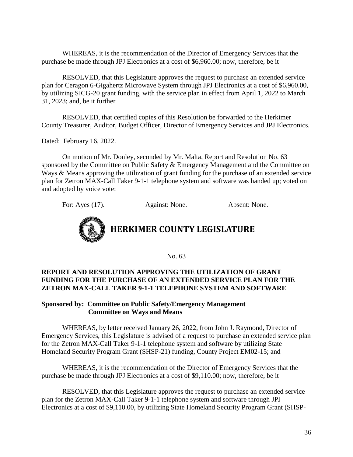WHEREAS, it is the recommendation of the Director of Emergency Services that the purchase be made through JPJ Electronics at a cost of \$6,960.00; now, therefore, be it

RESOLVED, that this Legislature approves the request to purchase an extended service plan for Ceragon 6-Gigahertz Microwave System through JPJ Electronics at a cost of \$6,960.00, by utilizing SICG-20 grant funding, with the service plan in effect from April 1, 2022 to March 31, 2023; and, be it further

RESOLVED, that certified copies of this Resolution be forwarded to the Herkimer County Treasurer, Auditor, Budget Officer, Director of Emergency Services and JPJ Electronics.

Dated: February 16, 2022.

On motion of Mr. Donley, seconded by Mr. Malta, Report and Resolution No. 63 sponsored by the Committee on Public Safety & Emergency Management and the Committee on Ways & Means approving the utilization of grant funding for the purchase of an extended service plan for Zetron MAX-Call Taker 9-1-1 telephone system and software was handed up; voted on and adopted by voice vote:

For: Ayes (17). Against: None. Absent: None.



No. 63

### **REPORT AND RESOLUTION APPROVING THE UTILIZATION OF GRANT FUNDING FOR THE PURCHASE OF AN EXTENDED SERVICE PLAN FOR THE ZETRON MAX-CALL TAKER 9-1-1 TELEPHONE SYSTEM AND SOFTWARE**

### **Sponsored by: Committee on Public Safety/Emergency Management Committee on Ways and Means**

WHEREAS, by letter received January 26, 2022, from John J. Raymond, Director of Emergency Services, this Legislature is advised of a request to purchase an extended service plan for the Zetron MAX-Call Taker 9-1-1 telephone system and software by utilizing State Homeland Security Program Grant (SHSP-21) funding, County Project EM02-15; and

WHEREAS, it is the recommendation of the Director of Emergency Services that the purchase be made through JPJ Electronics at a cost of \$9,110.00; now, therefore, be it

RESOLVED, that this Legislature approves the request to purchase an extended service plan for the Zetron MAX-Call Taker 9-1-1 telephone system and software through JPJ Electronics at a cost of \$9,110.00, by utilizing State Homeland Security Program Grant (SHSP-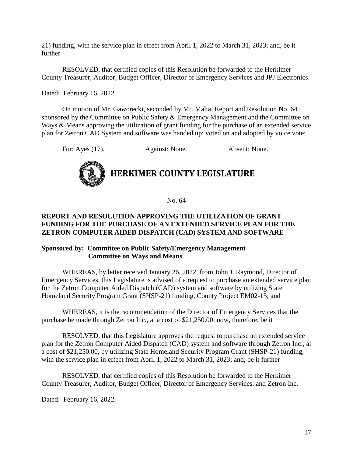21) funding, with the service plan in effect from April 1, 2022 to March 31, 2023; and, be it further

RESOLVED, that certified copies of this Resolution be forwarded to the Herkimer County Treasurer, Auditor, Budget Officer, Director of Emergency Services and JPJ Electronics.

Dated: February 16, 2022.

On motion of Mr. Gaworecki, seconded by Mr. Malta, Report and Resolution No. 64 sponsored by the Committee on Public Safety & Emergency Management and the Committee on Ways & Means approving the utilization of grant funding for the purchase of an extended service plan for Zetron CAD System and software was handed up; voted on and adopted by voice vote:

For: Ayes (17). Against: None. Absent: None.



# **HERKIMER COUNTY LEGISLATURE**

No. 64

### **REPORT AND RESOLUTION APPROVING THE UTILIZATION OF GRANT FUNDING FOR THE PURCHASE OF AN EXTENDED SERVICE PLAN FOR THE ZETRON COMPUTER AIDED DISPATCH (CAD) SYSTEM AND SOFTWARE**

### **Sponsored by: Committee on Public Safety/Emergency Management Committee on Ways and Means**

WHEREAS, by letter received January 26, 2022, from John J. Raymond, Director of Emergency Services, this Legislature is advised of a request to purchase an extended service plan for the Zetron Computer Aided Dispatch (CAD) system and software by utilizing State Homeland Security Program Grant (SHSP-21) funding, County Project EM02-15; and

WHEREAS, it is the recommendation of the Director of Emergency Services that the purchase be made through Zetron Inc., at a cost of \$21,250.00; now, therefore, be it

RESOLVED, that this Legislature approves the request to purchase an extended service plan for the Zetron Computer Aided Dispatch (CAD) system and software through Zetron Inc., at a cost of \$21,250.00, by utilizing State Homeland Security Program Grant (SHSP-21) funding, with the service plan in effect from April 1, 2022 to March 31, 2023; and, be it further

RESOLVED, that certified copies of this Resolution be forwarded to the Herkimer County Treasurer, Auditor, Budget Officer, Director of Emergency Services, and Zetron Inc.

Dated: February 16, 2022.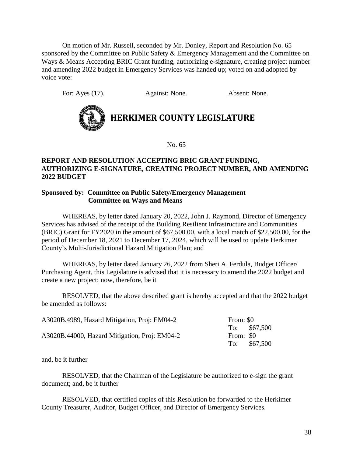On motion of Mr. Russell, seconded by Mr. Donley, Report and Resolution No. 65 sponsored by the Committee on Public Safety & Emergency Management and the Committee on Ways & Means Accepting BRIC Grant funding, authorizing e-signature, creating project number and amending 2022 budget in Emergency Services was handed up; voted on and adopted by voice vote:

For: Ayes (17). Against: None. Absent: None.



# **HERKIMER COUNTY LEGISLATURE**

No. 65

### **REPORT AND RESOLUTION ACCEPTING BRIC GRANT FUNDING, AUTHORIZING E-SIGNATURE, CREATING PROJECT NUMBER, AND AMENDING 2022 BUDGET**

### **Sponsored by: Committee on Public Safety/Emergency Management Committee on Ways and Means**

WHEREAS, by letter dated January 20, 2022, John J. Raymond, Director of Emergency Services has advised of the receipt of the Building Resilient Infrastructure and Communities (BRIC) Grant for FY2020 in the amount of \$67,500.00, with a local match of \$22,500.00, for the period of December 18, 2021 to December 17, 2024, which will be used to update Herkimer County's Multi-Jurisdictional Hazard Mitigation Plan; and

WHEREAS, by letter dated January 26, 2022 from Sheri A. Ferdula, Budget Officer/ Purchasing Agent, this Legislature is advised that it is necessary to amend the 2022 budget and create a new project; now, therefore, be it

RESOLVED, that the above described grant is hereby accepted and that the 2022 budget be amended as follows:

| A3020B.4989, Hazard Mitigation, Proj: EM04-2  | From: \$0 |               |
|-----------------------------------------------|-----------|---------------|
|                                               |           | To: $$67,500$ |
| A3020B.44000, Hazard Mitigation, Proj: EM04-2 | From: \$0 |               |
|                                               |           | To: $$67,500$ |

and, be it further

RESOLVED, that the Chairman of the Legislature be authorized to e-sign the grant document; and, be it further

RESOLVED, that certified copies of this Resolution be forwarded to the Herkimer County Treasurer, Auditor, Budget Officer, and Director of Emergency Services.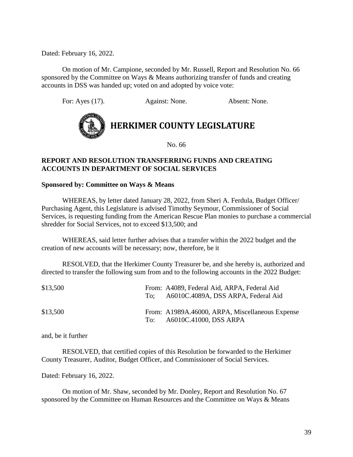Dated: February 16, 2022.

On motion of Mr. Campione, seconded by Mr. Russell, Report and Resolution No. 66 sponsored by the Committee on Ways & Means authorizing transfer of funds and creating accounts in DSS was handed up; voted on and adopted by voice vote:

For: Ayes (17). Against: None. Absent: None.



No. 66

### **REPORT AND RESOLUTION TRANSFERRING FUNDS AND CREATING ACCOUNTS IN DEPARTMENT OF SOCIAL SERVICES**

### **Sponsored by: Committee on Ways & Means**

WHEREAS, by letter dated January 28, 2022, from Sheri A. Ferdula, Budget Officer/ Purchasing Agent, this Legislature is advised Timothy Seymour, Commissioner of Social Services, is requesting funding from the American Rescue Plan monies to purchase a commercial shredder for Social Services, not to exceed \$13,500; and

WHEREAS, said letter further advises that a transfer within the 2022 budget and the creation of new accounts will be necessary; now, therefore, be it

RESOLVED, that the Herkimer County Treasurer be, and she hereby is, authorized and directed to transfer the following sum from and to the following accounts in the 2022 Budget:

| \$13,500 | To: | From: A4089, Federal Aid, ARPA, Federal Aid<br>A6010C.4089A, DSS ARPA, Federal Aid |
|----------|-----|------------------------------------------------------------------------------------|
| \$13,500 | To: | From: A1989A.46000, ARPA, Miscellaneous Expense<br>A6010C.41000, DSS ARPA          |

and, be it further

 RESOLVED, that certified copies of this Resolution be forwarded to the Herkimer County Treasurer, Auditor, Budget Officer, and Commissioner of Social Services.

Dated: February 16, 2022.

On motion of Mr. Shaw, seconded by Mr. Donley, Report and Resolution No. 67 sponsored by the Committee on Human Resources and the Committee on Ways & Means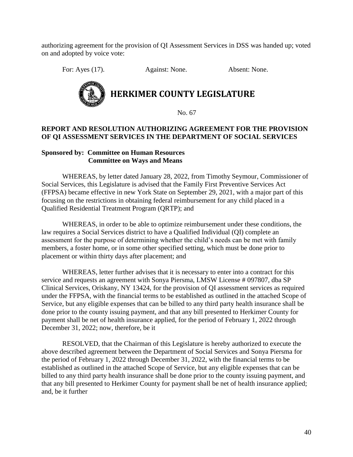authorizing agreement for the provision of QI Assessment Services in DSS was handed up; voted on and adopted by voice vote:

For: Ayes (17). Against: None. Absent: None.



No. 67

### **REPORT AND RESOLUTION AUTHORIZING AGREEMENT FOR THE PROVISION OF QI ASSESSMENT SERVICES IN THE DEPARTMENT OF SOCIAL SERVICES**

### **Sponsored by: Committee on Human Resources Committee on Ways and Means**

WHEREAS, by letter dated January 28, 2022, from Timothy Seymour, Commissioner of Social Services, this Legislature is advised that the Family First Preventive Services Act (FFPSA) became effective in new York State on September 29, 2021, with a major part of this focusing on the restrictions in obtaining federal reimbursement for any child placed in a Qualified Residential Treatment Program (QRTP); and

WHEREAS, in order to be able to optimize reimbursement under these conditions, the law requires a Social Services district to have a Qualified Individual (QI) complete an assessment for the purpose of determining whether the child's needs can be met with family members, a foster home, or in some other specified setting, which must be done prior to placement or within thirty days after placement; and

WHEREAS, letter further advises that it is necessary to enter into a contract for this service and requests an agreement with Sonya Piersma, LMSW License # 097807, dba SP Clinical Services, Oriskany, NY 13424, for the provision of QI assessment services as required under the FFPSA, with the financial terms to be established as outlined in the attached Scope of Service, but any eligible expenses that can be billed to any third party health insurance shall be done prior to the county issuing payment, and that any bill presented to Herkimer County for payment shall be net of health insurance applied, for the period of February 1, 2022 through December 31, 2022; now, therefore, be it

RESOLVED, that the Chairman of this Legislature is hereby authorized to execute the above described agreement between the Department of Social Services and Sonya Piersma for the period of February 1, 2022 through December 31, 2022, with the financial terms to be established as outlined in the attached Scope of Service, but any eligible expenses that can be billed to any third party health insurance shall be done prior to the county issuing payment, and that any bill presented to Herkimer County for payment shall be net of health insurance applied; and, be it further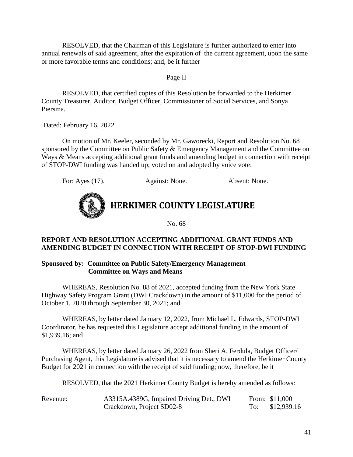RESOLVED, that the Chairman of this Legislature is further authorized to enter into annual renewals of said agreement, after the expiration of the current agreement, upon the same or more favorable terms and conditions; and, be it further

### Page II

RESOLVED, that certified copies of this Resolution be forwarded to the Herkimer County Treasurer, Auditor, Budget Officer, Commissioner of Social Services, and Sonya Piersma.

Dated: February 16, 2022.

On motion of Mr. Keeler, seconded by Mr. Gaworecki, Report and Resolution No. 68 sponsored by the Committee on Public Safety & Emergency Management and the Committee on Ways & Means accepting additional grant funds and amending budget in connection with receipt of STOP-DWI funding was handed up; voted on and adopted by voice vote:

For: Ayes (17). Against: None. Absent: None.



**HERKIMER COUNTY LEGISLATURE**

No. 68

### **REPORT AND RESOLUTION ACCEPTING ADDITIONAL GRANT FUNDS AND AMENDING BUDGET IN CONNECTION WITH RECEIPT OF STOP-DWI FUNDING**

### **Sponsored by: Committee on Public Safety/Emergency Management Committee on Ways and Means**

WHEREAS, Resolution No. 88 of 2021, accepted funding from the New York State Highway Safety Program Grant (DWI Crackdown) in the amount of \$11,000 for the period of October 1, 2020 through September 30, 2021; and

WHEREAS, by letter dated January 12, 2022, from Michael L. Edwards, STOP-DWI Coordinator, he has requested this Legislature accept additional funding in the amount of \$1,939.16; and

WHEREAS, by letter dated January 26, 2022 from Sheri A. Ferdula, Budget Officer/ Purchasing Agent, this Legislature is advised that it is necessary to amend the Herkimer County Budget for 2021 in connection with the receipt of said funding; now, therefore, be it

RESOLVED, that the 2021 Herkimer County Budget is hereby amended as follows:

| Revenue: | A3315A.4389G, Impaired Driving Det., DWI | From: \$11,000  |
|----------|------------------------------------------|-----------------|
|          | Crackdown, Project SD02-8                | To: \$12,939.16 |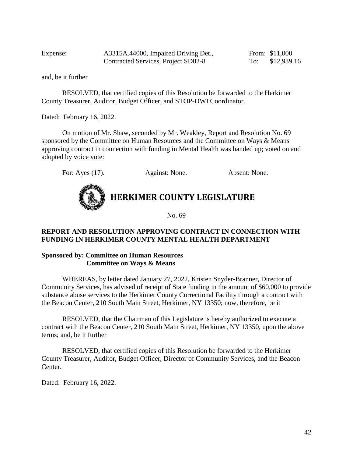Expense: A3315A.44000, Impaired Driving Det., From: \$11,000 Contracted Services, Project SD02-8 To: \$12,939.16

and, be it further

RESOLVED, that certified copies of this Resolution be forwarded to the Herkimer County Treasurer, Auditor, Budget Officer, and STOP-DWI Coordinator.

Dated: February 16, 2022.

On motion of Mr. Shaw, seconded by Mr. Weakley, Report and Resolution No. 69 sponsored by the Committee on Human Resources and the Committee on Ways & Means approving contract in connection with funding in Mental Health was handed up; voted on and adopted by voice vote:

For: Ayes (17). Against: None. Absent: None.



No. 69

### **REPORT AND RESOLUTION APPROVING CONTRACT IN CONNECTION WITH FUNDING IN HERKIMER COUNTY MENTAL HEALTH DEPARTMENT**

### **Sponsored by: Committee on Human Resources Committee on Ways & Means**

WHEREAS, by letter dated January 27, 2022, Kristen Snyder-Branner, Director of Community Services, has advised of receipt of State funding in the amount of \$60,000 to provide substance abuse services to the Herkimer County Correctional Facility through a contract with the Beacon Center, 210 South Main Street, Herkimer, NY 13350; now, therefore, be it

RESOLVED, that the Chairman of this Legislature is hereby authorized to execute a contract with the Beacon Center, 210 South Main Street, Herkimer, NY 13350, upon the above terms; and, be it further

RESOLVED, that certified copies of this Resolution be forwarded to the Herkimer County Treasurer, Auditor, Budget Officer, Director of Community Services, and the Beacon Center.

Dated: February 16, 2022.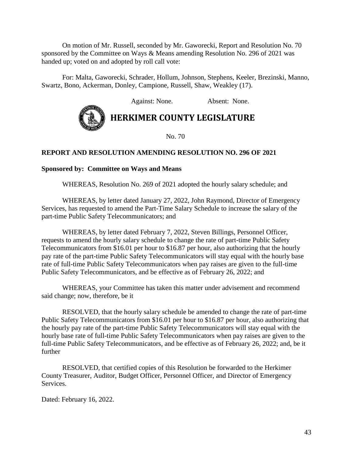On motion of Mr. Russell, seconded by Mr. Gaworecki, Report and Resolution No. 70 sponsored by the Committee on Ways & Means amending Resolution No. 296 of 2021 was handed up; voted on and adopted by roll call vote:

For: Malta, Gaworecki, Schrader, Hollum, Johnson, Stephens, Keeler, Brezinski, Manno, Swartz, Bono, Ackerman, Donley, Campione, Russell, Shaw, Weakley (17).

Against: None. Absent: None.



### **HERKIMER COUNTY LEGISLATURE**

No. 70

### **REPORT AND RESOLUTION AMENDING RESOLUTION NO. 296 OF 2021**

### **Sponsored by: Committee on Ways and Means**

WHEREAS, Resolution No. 269 of 2021 adopted the hourly salary schedule; and

WHEREAS, by letter dated January 27, 2022, John Raymond, Director of Emergency Services, has requested to amend the Part-Time Salary Schedule to increase the salary of the part-time Public Safety Telecommunicators; and

WHEREAS, by letter dated February 7, 2022, Steven Billings, Personnel Officer, requests to amend the hourly salary schedule to change the rate of part-time Public Safety Telecommunicators from \$16.01 per hour to \$16.87 per hour, also authorizing that the hourly pay rate of the part-time Public Safety Telecommunicators will stay equal with the hourly base rate of full-time Public Safety Telecommunicators when pay raises are given to the full-time Public Safety Telecommunicators, and be effective as of February 26, 2022; and

WHEREAS, your Committee has taken this matter under advisement and recommend said change; now, therefore, be it

RESOLVED, that the hourly salary schedule be amended to change the rate of part-time Public Safety Telecommunicators from \$16.01 per hour to \$16.87 per hour, also authorizing that the hourly pay rate of the part-time Public Safety Telecommunicators will stay equal with the hourly base rate of full-time Public Safety Telecommunicators when pay raises are given to the full-time Public Safety Telecommunicators, and be effective as of February 26, 2022; and, be it further

RESOLVED, that certified copies of this Resolution be forwarded to the Herkimer County Treasurer, Auditor, Budget Officer, Personnel Officer, and Director of Emergency Services.

Dated: February 16, 2022.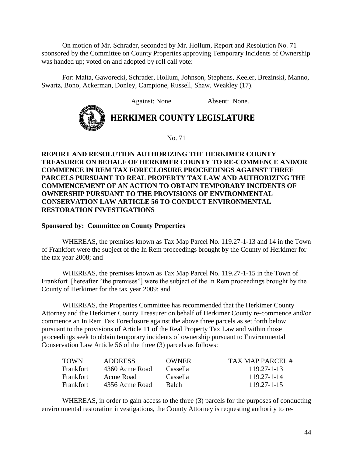On motion of Mr. Schrader, seconded by Mr. Hollum, Report and Resolution No. 71 sponsored by the Committee on County Properties approving Temporary Incidents of Ownership was handed up; voted on and adopted by roll call vote:

For: Malta, Gaworecki, Schrader, Hollum, Johnson, Stephens, Keeler, Brezinski, Manno, Swartz, Bono, Ackerman, Donley, Campione, Russell, Shaw, Weakley (17).

Against: None. Absent: None.



**HERKIMER COUNTY LEGISLATURE**

No. 71

### **REPORT AND RESOLUTION AUTHORIZING THE HERKIMER COUNTY TREASURER ON BEHALF OF HERKIMER COUNTY TO RE-COMMENCE AND/OR COMMENCE IN REM TAX FORECLOSURE PROCEEDINGS AGAINST THREE PARCELS PURSUANT TO REAL PROPERTY TAX LAW AND AUTHORIZING THE COMMENCEMENT OF AN ACTION TO OBTAIN TEMPORARY INCIDENTS OF OWNERSHIP PURSUANT TO THE PROVISIONS OF ENVIRONMENTAL CONSERVATION LAW ARTICLE 56 TO CONDUCT ENVIRONMENTAL RESTORATION INVESTIGATIONS**

#### **Sponsored by: Committee on County Properties**

WHEREAS, the premises known as Tax Map Parcel No. 119.27-1-13 and 14 in the Town of Frankfort were the subject of the In Rem proceedings brought by the County of Herkimer for the tax year 2008; and

WHEREAS, the premises known as Tax Map Parcel No. 119.27-1-15 in the Town of Frankfort [hereafter "the premises"] were the subject of the In Rem proceedings brought by the County of Herkimer for the tax year 2009; and

WHEREAS, the Properties Committee has recommended that the Herkimer County Attorney and the Herkimer County Treasurer on behalf of Herkimer County re-commence and/or commence an In Rem Tax Foreclosure against the above three parcels as set forth below pursuant to the provisions of Article 11 of the Real Property Tax Law and within those proceedings seek to obtain temporary incidents of ownership pursuant to Environmental Conservation Law Article 56 of the three (3) parcels as follows:

| <b>TOWN</b>      | ADDRESS        | OWNER        | TAX MAP PARCEL #  |
|------------------|----------------|--------------|-------------------|
| <b>Frankfort</b> | 4360 Acme Road | Cassella     | $119.27 - 1 - 13$ |
| <b>Frankfort</b> | Acme Road      | Cassella     | 119.27-1-14       |
| <b>Frankfort</b> | 4356 Acme Road | <b>Balch</b> | $119.27 - 1 - 15$ |

WHEREAS, in order to gain access to the three (3) parcels for the purposes of conducting environmental restoration investigations, the County Attorney is requesting authority to re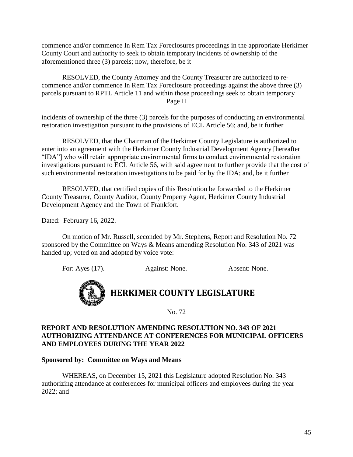commence and/or commence In Rem Tax Foreclosures proceedings in the appropriate Herkimer County Court and authority to seek to obtain temporary incidents of ownership of the aforementioned three (3) parcels; now, therefore, be it

RESOLVED, the County Attorney and the County Treasurer are authorized to recommence and/or commence In Rem Tax Foreclosure proceedings against the above three (3) parcels pursuant to RPTL Article 11 and within those proceedings seek to obtain temporary Page II

incidents of ownership of the three (3) parcels for the purposes of conducting an environmental restoration investigation pursuant to the provisions of ECL Article 56; and, be it further

RESOLVED, that the Chairman of the Herkimer County Legislature is authorized to enter into an agreement with the Herkimer County Industrial Development Agency [hereafter "IDA"] who will retain appropriate environmental firms to conduct environmental restoration investigations pursuant to ECL Article 56, with said agreement to further provide that the cost of such environmental restoration investigations to be paid for by the IDA; and, be it further

RESOLVED, that certified copies of this Resolution be forwarded to the Herkimer County Treasurer, County Auditor, County Property Agent, Herkimer County Industrial Development Agency and the Town of Frankfort.

Dated: February 16, 2022.

On motion of Mr. Russell, seconded by Mr. Stephens, Report and Resolution No. 72 sponsored by the Committee on Ways & Means amending Resolution No. 343 of 2021 was handed up; voted on and adopted by voice vote:

For: Ayes (17). Against: None. Absent: None.



### **HERKIMER COUNTY LEGISLATURE**

No. 72

### **REPORT AND RESOLUTION AMENDING RESOLUTION NO. 343 OF 2021 AUTHORIZING ATTENDANCE AT CONFERENCES FOR MUNICIPAL OFFICERS AND EMPLOYEES DURING THE YEAR 2022**

### **Sponsored by: Committee on Ways and Means**

WHEREAS, on December 15, 2021 this Legislature adopted Resolution No. 343 authorizing attendance at conferences for municipal officers and employees during the year 2022; and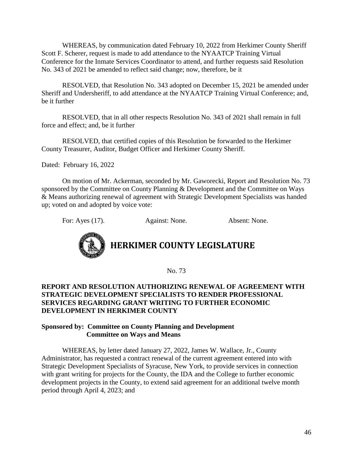WHEREAS, by communication dated February 10, 2022 from Herkimer County Sheriff Scott F. Scherer, request is made to add attendance to the NYAATCP Training Virtual Conference for the Inmate Services Coordinator to attend, and further requests said Resolution No. 343 of 2021 be amended to reflect said change; now, therefore, be it

RESOLVED, that Resolution No. 343 adopted on December 15, 2021 be amended under Sheriff and Undersheriff, to add attendance at the NYAATCP Training Virtual Conference; and, be it further

RESOLVED, that in all other respects Resolution No. 343 of 2021 shall remain in full force and effect; and, be it further

RESOLVED, that certified copies of this Resolution be forwarded to the Herkimer County Treasurer, Auditor, Budget Officer and Herkimer County Sheriff.

Dated: February 16, 2022

On motion of Mr. Ackerman, seconded by Mr. Gaworecki, Report and Resolution No. 73 sponsored by the Committee on County Planning & Development and the Committee on Ways & Means authorizing renewal of agreement with Strategic Development Specialists was handed up; voted on and adopted by voice vote:

For: Ayes (17). Against: None. Absent: None.



# **HERKIMER COUNTY LEGISLATURE**

No. 73

### **REPORT AND RESOLUTION AUTHORIZING RENEWAL OF AGREEMENT WITH STRATEGIC DEVELOPMENT SPECIALISTS TO RENDER PROFESSIONAL SERVICES REGARDING GRANT WRITING TO FURTHER ECONOMIC DEVELOPMENT IN HERKIMER COUNTY**

### **Sponsored by: Committee on County Planning and Development Committee on Ways and Means**

WHEREAS, by letter dated January 27, 2022, James W. Wallace, Jr., County Administrator, has requested a contract renewal of the current agreement entered into with Strategic Development Specialists of Syracuse, New York, to provide services in connection with grant writing for projects for the County, the IDA and the College to further economic development projects in the County, to extend said agreement for an additional twelve month period through April 4, 2023; and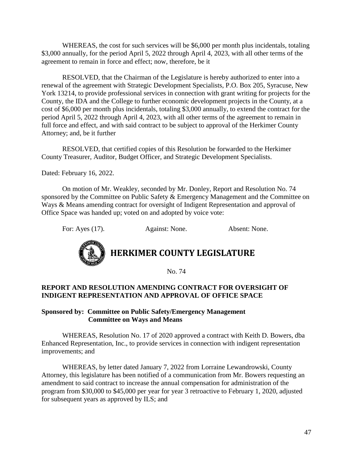WHEREAS, the cost for such services will be \$6,000 per month plus incidentals, totaling \$3,000 annually, for the period April 5, 2022 through April 4, 2023, with all other terms of the agreement to remain in force and effect; now, therefore, be it

RESOLVED, that the Chairman of the Legislature is hereby authorized to enter into a renewal of the agreement with Strategic Development Specialists, P.O. Box 205, Syracuse, New York 13214, to provide professional services in connection with grant writing for projects for the County, the IDA and the College to further economic development projects in the County, at a cost of \$6,000 per month plus incidentals, totaling \$3,000 annually, to extend the contract for the period April 5, 2022 through April 4, 2023, with all other terms of the agreement to remain in full force and effect, and with said contract to be subject to approval of the Herkimer County Attorney; and, be it further

RESOLVED, that certified copies of this Resolution be forwarded to the Herkimer County Treasurer, Auditor, Budget Officer, and Strategic Development Specialists.

Dated: February 16, 2022.

On motion of Mr. Weakley, seconded by Mr. Donley, Report and Resolution No. 74 sponsored by the Committee on Public Safety & Emergency Management and the Committee on Ways & Means amending contract for oversight of Indigent Representation and approval of Office Space was handed up; voted on and adopted by voice vote:

For: Ayes (17). Against: None. Absent: None.



# **HERKIMER COUNTY LEGISLATURE**

No. 74

### **REPORT AND RESOLUTION AMENDING CONTRACT FOR OVERSIGHT OF INDIGENT REPRESENTATION AND APPROVAL OF OFFICE SPACE**

### **Sponsored by: Committee on Public Safety/Emergency Management Committee on Ways and Means**

WHEREAS, Resolution No. 17 of 2020 approved a contract with Keith D. Bowers, dba Enhanced Representation, Inc., to provide services in connection with indigent representation improvements; and

WHEREAS, by letter dated January 7, 2022 from Lorraine Lewandrowski, County Attorney, this legislature has been notified of a communication from Mr. Bowers requesting an amendment to said contract to increase the annual compensation for administration of the program from \$30,000 to \$45,000 per year for year 3 retroactive to February 1, 2020, adjusted for subsequent years as approved by ILS; and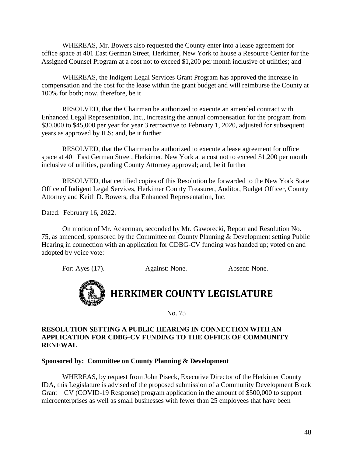WHEREAS, Mr. Bowers also requested the County enter into a lease agreement for office space at 401 East German Street, Herkimer, New York to house a Resource Center for the Assigned Counsel Program at a cost not to exceed \$1,200 per month inclusive of utilities; and

WHEREAS, the Indigent Legal Services Grant Program has approved the increase in compensation and the cost for the lease within the grant budget and will reimburse the County at 100% for both; now, therefore, be it

RESOLVED, that the Chairman be authorized to execute an amended contract with Enhanced Legal Representation, Inc., increasing the annual compensation for the program from \$30,000 to \$45,000 per year for year 3 retroactive to February 1, 2020, adjusted for subsequent years as approved by ILS; and, be it further

RESOLVED, that the Chairman be authorized to execute a lease agreement for office space at 401 East German Street, Herkimer, New York at a cost not to exceed \$1,200 per month inclusive of utilities, pending County Attorney approval; and, be it further

RESOLVED, that certified copies of this Resolution be forwarded to the New York State Office of Indigent Legal Services, Herkimer County Treasurer, Auditor, Budget Officer, County Attorney and Keith D. Bowers, dba Enhanced Representation, Inc.

Dated: February 16, 2022.

On motion of Mr. Ackerman, seconded by Mr. Gaworecki, Report and Resolution No. 75, as amended, sponsored by the Committee on County Planning & Development setting Public Hearing in connection with an application for CDBG-CV funding was handed up; voted on and adopted by voice vote:

For: Ayes (17). Against: None. Absent: None.



# **HERKIMER COUNTY LEGISLATURE**

No. 75

### **RESOLUTION SETTING A PUBLIC HEARING IN CONNECTION WITH AN APPLICATION FOR CDBG-CV FUNDING TO THE OFFICE OF COMMUNITY RENEWAL**

### **Sponsored by: Committee on County Planning & Development**

WHEREAS, by request from John Piseck, Executive Director of the Herkimer County IDA, this Legislature is advised of the proposed submission of a Community Development Block Grant – CV (COVID-19 Response) program application in the amount of \$500,000 to support microenterprises as well as small businesses with fewer than 25 employees that have been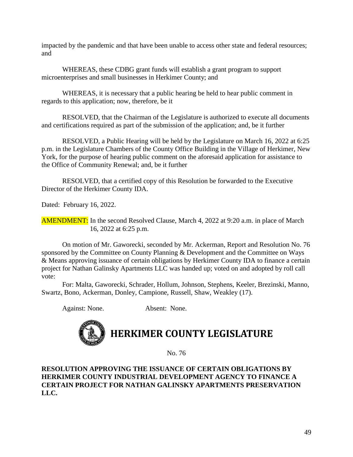impacted by the pandemic and that have been unable to access other state and federal resources; and

WHEREAS, these CDBG grant funds will establish a grant program to support microenterprises and small businesses in Herkimer County; and

WHEREAS, it is necessary that a public hearing be held to hear public comment in regards to this application; now, therefore, be it

RESOLVED, that the Chairman of the Legislature is authorized to execute all documents and certifications required as part of the submission of the application; and, be it further

RESOLVED, a Public Hearing will be held by the Legislature on March 16, 2022 at 6:25 p.m. in the Legislature Chambers of the County Office Building in the Village of Herkimer, New York, for the purpose of hearing public comment on the aforesaid application for assistance to the Office of Community Renewal; and, be it further

RESOLVED, that a certified copy of this Resolution be forwarded to the Executive Director of the Herkimer County IDA.

Dated: February 16, 2022.

AMENDMENT: In the second Resolved Clause, March 4, 2022 at 9:20 a.m. in place of March 16, 2022 at 6:25 p.m.

On motion of Mr. Gaworecki, seconded by Mr. Ackerman, Report and Resolution No. 76 sponsored by the Committee on County Planning & Development and the Committee on Ways & Means approving issuance of certain obligations by Herkimer County IDA to finance a certain project for Nathan Galinsky Apartments LLC was handed up; voted on and adopted by roll call vote:

For: Malta, Gaworecki, Schrader, Hollum, Johnson, Stephens, Keeler, Brezinski, Manno, Swartz, Bono, Ackerman, Donley, Campione, Russell, Shaw, Weakley (17).

Against: None. Absent: None.

# **HERKIMER COUNTY LEGISLATURE**

No. 76

### **RESOLUTION APPROVING THE ISSUANCE OF CERTAIN OBLIGATIONS BY HERKIMER COUNTY INDUSTRIAL DEVELOPMENT AGENCY TO FINANCE A CERTAIN PROJECT FOR NATHAN GALINSKY APARTMENTS PRESERVATION LLC.**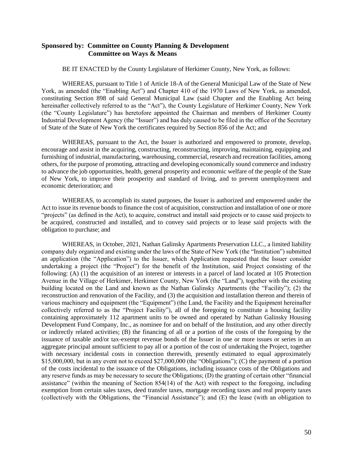### **Sponsored by: Committee on County Planning & Development Committee on Ways & Means**

BE IT ENACTED by the County Legislature of Herkimer County, New York, as follows:

WHEREAS, pursuant to Title 1 of Article 18-A of the General Municipal Law of the State of New York, as amended (the "Enabling Act") and Chapter 410 of the 1970 Laws of New York, as amended, constituting Section 898 of said General Municipal Law (said Chapter and the Enabling Act being hereinafter collectively referred to as the "Act"), the County Legislature of Herkimer County, New York (the "County Legislature") has heretofore appointed the Chairman and members of Herkimer County Industrial Development Agency (the "Issuer") and has duly caused to be filed in the office of the Secretary of State of the State of New York the certificates required by Section 856 of the Act; and

WHEREAS, pursuant to the Act, the Issuer is authorized and empowered to promote, develop, encourage and assist in the acquiring, constructing, reconstructing, improving, maintaining, equipping and furnishing of industrial, manufacturing, warehousing, commercial, research and recreation facilities, among others, for the purpose of promoting, attracting and developing economically sound commerce and industry to advance the job opportunities, health, general prosperity and economic welfare of the people of the State of New York, to improve their prosperity and standard of living, and to prevent unemployment and economic deterioration; and

WHEREAS, to accomplish its stated purposes, the Issuer is authorized and empowered under the Act to issue its revenue bonds to finance the cost of acquisition, construction and installation of one or more "projects" (as defined in the Act), to acquire, construct and install said projects or to cause said projects to be acquired, constructed and installed, and to convey said projects or to lease said projects with the obligation to purchase; and

WHEREAS, in October, 2021, Nathan Galinsky Apartments Preservation LLC., a limited liability company duly organized and existing under the laws of the State of New York (the "Institution") submitted an application (the "Application") to the Issuer, which Application requested that the Issuer consider undertaking a project (the "Project") for the benefit of the Institution, said Project consisting of the following: (A) (1) the acquisition of an interest or interests in a parcel of land located at 105 Protection Avenue in the Village of Herkimer, Herkimer County, New York (the "Land"), together with the existing building located on the Land and known as the Nathan Galinsky Apartments (the "Facility"); (2) the reconstruction and renovation of the Facility, and (3) the acquisition and installation thereon and therein of various machinery and equipment (the "Equipment") (the Land, the Facility and the Equipment hereinafter collectively referred to as the "Project Facility"), all of the foregoing to constitute a housing facility containing approximately 112 apartment units to be owned and operated by Nathan Galinsky Housing Development Fund Company, Inc., as nominee for and on behalf of the Institution, and any other directly or indirectly related activities; (B) the financing of all or a portion of the costs of the foregoing by the issuance of taxable and/or tax-exempt revenue bonds of the Issuer in one or more issues or series in an aggregate principal amount sufficient to pay all or a portion of the cost of undertaking the Project, together with necessary incidental costs in connection therewith, presently estimated to equal approximately \$15,000,000, but in any event not to exceed \$27,000,000 (the "Obligations"); (C) the payment of a portion of the costs incidental to the issuance of the Obligations, including issuance costs of the Obligations and any reserve funds as may be necessary to secure the Obligations; (D) the granting of certain other "financial assistance" (within the meaning of Section 854(14) of the Act) with respect to the foregoing, including exemption from certain sales taxes, deed transfer taxes, mortgage recording taxes and real property taxes (collectively with the Obligations, the "Financial Assistance"); and (E) the lease (with an obligation to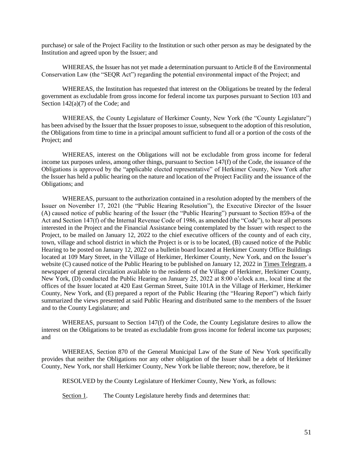purchase) or sale of the Project Facility to the Institution or such other person as may be designated by the Institution and agreed upon by the Issuer; and

WHEREAS, the Issuer has not yet made a determination pursuant to Article 8 of the Environmental Conservation Law (the "SEQR Act") regarding the potential environmental impact of the Project; and

WHEREAS, the Institution has requested that interest on the Obligations be treated by the federal government as excludable from gross income for federal income tax purposes pursuant to Section 103 and Section 142(a)(7) of the Code; and

WHEREAS, the County Legislature of Herkimer County, New York (the "County Legislature") has been advised by the Issuer that the Issuer proposes to issue, subsequent to the adoption of this resolution, the Obligations from time to time in a principal amount sufficient to fund all or a portion of the costs of the Project; and

WHEREAS, interest on the Obligations will not be excludable from gross income for federal income tax purposes unless, among other things, pursuant to Section 147(f) of the Code, the issuance of the Obligations is approved by the "applicable elected representative" of Herkimer County, New York after the Issuer has held a public hearing on the nature and location of the Project Facility and the issuance of the Obligations; and

WHEREAS, pursuant to the authorization contained in a resolution adopted by the members of the Issuer on November 17, 2021 (the "Public Hearing Resolution"), the Executive Director of the Issuer (A) caused notice of public hearing of the Issuer (the "Public Hearing") pursuant to Section 859-a of the Act and Section 147(f) of the Internal Revenue Code of 1986, as amended (the "Code"), to hear all persons interested in the Project and the Financial Assistance being contemplated by the Issuer with respect to the Project, to be mailed on January 12, 2022 to the chief executive officers of the county and of each city, town, village and school district in which the Project is or is to be located, (B) caused notice of the Public Hearing to be posted on January 12, 2022 on a bulletin board located at Herkimer County Office Buildings located at 109 Mary Street, in the Village of Herkimer, Herkimer County, New York, and on the Issuer's website (C) caused notice of the Public Hearing to be published on January 12, 2022 in Times Telegram, a newspaper of general circulation available to the residents of the Village of Herkimer, Herkimer County, New York, (D) conducted the Public Hearing on January 25, 2022 at 8:00 o'clock a.m., local time at the offices of the Issuer located at 420 East German Street, Suite 101A in the Village of Herkimer, Herkimer County, New York, and (E) prepared a report of the Public Hearing (the "Hearing Report") which fairly summarized the views presented at said Public Hearing and distributed same to the members of the Issuer and to the County Legislature; and

WHEREAS, pursuant to Section 147(f) of the Code, the County Legislature desires to allow the interest on the Obligations to be treated as excludable from gross income for federal income tax purposes; and

WHEREAS, Section 870 of the General Municipal Law of the State of New York specifically provides that neither the Obligations nor any other obligation of the Issuer shall be a debt of Herkimer County, New York, nor shall Herkimer County, New York be liable thereon; now, therefore, be it

RESOLVED by the County Legislature of Herkimer County, New York, as follows:

Section 1. The County Legislature hereby finds and determines that: